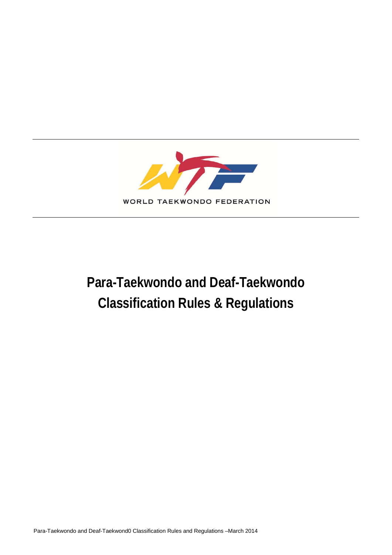

# **Para-Taekwondo and Deaf-Taekwondo Classification Rules & Regulations**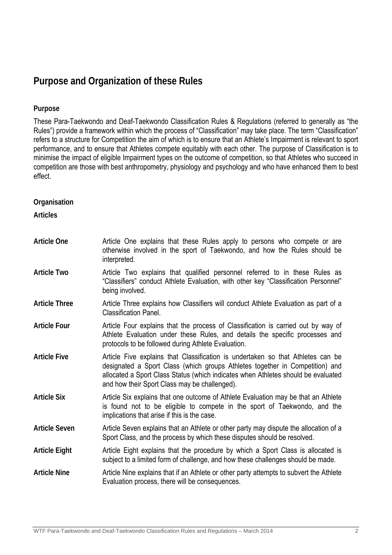## **Purpose and Organization of these Rules**

## **Purpose**

These Para-Taekwondo and Deaf-Taekwondo Classification Rules & Regulations (referred to generally as "the Rules") provide a framework within which the process of "Classification" may take place. The term "Classification" refers to a structure for Competition the aim of which is to ensure that an Athlete's Impairment is relevant to sport performance, and to ensure that Athletes compete equitably with each other. The purpose of Classification is to minimise the impact of eligible Impairment types on the outcome of competition, so that Athletes who succeed in competition are those with best anthropometry, physiology and psychology and who have enhanced them to best effect.

**Organisation** 

**Articles** 

| <b>Article One</b>   | Article One explains that these Rules apply to persons who compete or are<br>otherwise involved in the sport of Taekwondo, and how the Rules should be<br>interpreted.                                                                                                                                |
|----------------------|-------------------------------------------------------------------------------------------------------------------------------------------------------------------------------------------------------------------------------------------------------------------------------------------------------|
| <b>Article Two</b>   | Article Two explains that qualified personnel referred to in these Rules as<br>"Classifiers" conduct Athlete Evaluation, with other key "Classification Personnel"<br>being involved.                                                                                                                 |
| <b>Article Three</b> | Article Three explains how Classifiers will conduct Athlete Evaluation as part of a<br><b>Classification Panel.</b>                                                                                                                                                                                   |
| <b>Article Four</b>  | Article Four explains that the process of Classification is carried out by way of<br>Athlete Evaluation under these Rules, and details the specific processes and<br>protocols to be followed during Athlete Evaluation.                                                                              |
| <b>Article Five</b>  | Article Five explains that Classification is undertaken so that Athletes can be<br>designated a Sport Class (which groups Athletes together in Competition) and<br>allocated a Sport Class Status (which indicates when Athletes should be evaluated<br>and how their Sport Class may be challenged). |
| <b>Article Six</b>   | Article Six explains that one outcome of Athlete Evaluation may be that an Athlete<br>is found not to be eligible to compete in the sport of Taekwondo, and the<br>implications that arise if this is the case.                                                                                       |
| <b>Article Seven</b> | Article Seven explains that an Athlete or other party may dispute the allocation of a<br>Sport Class, and the process by which these disputes should be resolved.                                                                                                                                     |
| <b>Article Eight</b> | Article Eight explains that the procedure by which a Sport Class is allocated is<br>subject to a limited form of challenge, and how these challenges should be made.                                                                                                                                  |
| <b>Article Nine</b>  | Article Nine explains that if an Athlete or other party attempts to subvert the Athlete<br>Evaluation process, there will be consequences.                                                                                                                                                            |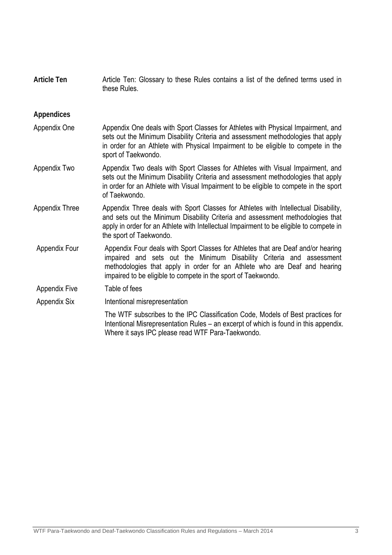| <b>Article Ten</b>    | Article Ten: Glossary to these Rules contains a list of the defined terms used in<br>these Rules.                                                                                                                                                                                                      |
|-----------------------|--------------------------------------------------------------------------------------------------------------------------------------------------------------------------------------------------------------------------------------------------------------------------------------------------------|
| <b>Appendices</b>     |                                                                                                                                                                                                                                                                                                        |
| Appendix One          | Appendix One deals with Sport Classes for Athletes with Physical Impairment, and<br>sets out the Minimum Disability Criteria and assessment methodologies that apply<br>in order for an Athlete with Physical Impairment to be eligible to compete in the<br>sport of Taekwondo.                       |
| Appendix Two          | Appendix Two deals with Sport Classes for Athletes with Visual Impairment, and<br>sets out the Minimum Disability Criteria and assessment methodologies that apply<br>in order for an Athlete with Visual Impairment to be eligible to compete in the sport<br>of Taekwondo.                           |
| <b>Appendix Three</b> | Appendix Three deals with Sport Classes for Athletes with Intellectual Disability,<br>and sets out the Minimum Disability Criteria and assessment methodologies that<br>apply in order for an Athlete with Intellectual Impairment to be eligible to compete in<br>the sport of Taekwondo.             |
| <b>Appendix Four</b>  | Appendix Four deals with Sport Classes for Athletes that are Deaf and/or hearing<br>impaired and sets out the Minimum Disability Criteria and assessment<br>methodologies that apply in order for an Athlete who are Deaf and hearing<br>impaired to be eligible to compete in the sport of Taekwondo. |
| <b>Appendix Five</b>  | Table of fees                                                                                                                                                                                                                                                                                          |
| <b>Appendix Six</b>   | Intentional misrepresentation                                                                                                                                                                                                                                                                          |
|                       | The WTF subscribes to the IPC Classification Code, Models of Best practices for<br>Intentional Misrepresentation Rules - an excerpt of which is found in this appendix.<br>Where it says IPC please read WTF Para-Taekwondo.                                                                           |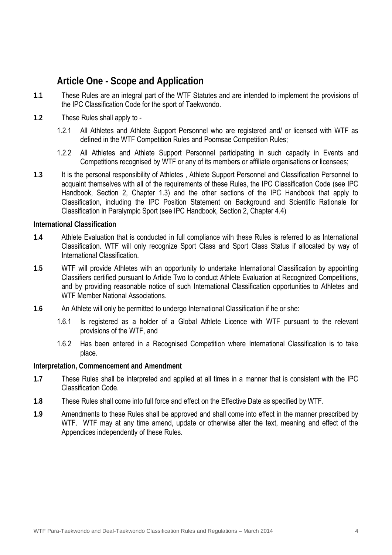## **Article One - Scope and Application**

- **1.1** These Rules are an integral part of the WTF Statutes and are intended to implement the provisions of the IPC Classification Code for the sport of Taekwondo.
- **1.2** These Rules shall apply to
	- 1.2.1 All Athletes and Athlete Support Personnel who are registered and/ or licensed with WTF as defined in the WTF Competition Rules and Poomsae Competition Rules;
	- 1.2.2 All Athletes and Athlete Support Personnel participating in such capacity in Events and Competitions recognised by WTF or any of its members or affiliate organisations or licensees;
- **1.3** It is the personal responsibility of Athletes , Athlete Support Personnel and Classification Personnel to acquaint themselves with all of the requirements of these Rules, the IPC Classification Code (see IPC Handbook, Section 2, Chapter 1.3) and the other sections of the IPC Handbook that apply to Classification, including the IPC Position Statement on Background and Scientific Rationale for Classification in Paralympic Sport (see IPC Handbook, Section 2, Chapter 4.4)

**International Classification** 

- **1.4** Athlete Evaluation that is conducted in full compliance with these Rules is referred to as International Classification. WTF will only recognize Sport Class and Sport Class Status if allocated by way of International Classification.
- **1.5** WTF will provide Athletes with an opportunity to undertake International Classification by appointing Classifiers certified pursuant to Article Two to conduct Athlete Evaluation at Recognized Competitions, and by providing reasonable notice of such International Classification opportunities to Athletes and WTF Member National Associations.
- **1.6** An Athlete will only be permitted to undergo International Classification if he or she:
	- 1.6.1 Is registered as a holder of a Global Athlete Licence with WTF pursuant to the relevant provisions of the WTF, and
	- 1.6.2 Has been entered in a Recognised Competition where International Classification is to take place.

## **Interpretation, Commencement and Amendment**

- **1.7** These Rules shall be interpreted and applied at all times in a manner that is consistent with the IPC Classification Code.
- **1.8** These Rules shall come into full force and effect on the Effective Date as specified by WTF.
- **1.9** Amendments to these Rules shall be approved and shall come into effect in the manner prescribed by WTF. WTF may at any time amend, update or otherwise alter the text, meaning and effect of the Appendices independently of these Rules.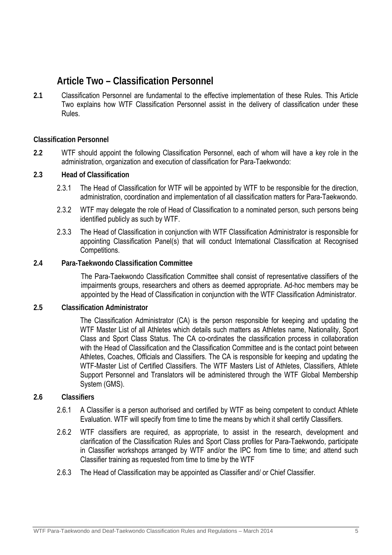## **Article Two – Classification Personnel**

**2.1** Classification Personnel are fundamental to the effective implementation of these Rules. This Article Two explains how WTF Classification Personnel assist in the delivery of classification under these Rules.

## **Classification Personnel**

**2.2** WTF should appoint the following Classification Personnel, each of whom will have a key role in the administration, organization and execution of classification for Para-Taekwondo:

## **2.3 Head of Classification**

- 2.3.1 The Head of Classification for WTF will be appointed by WTF to be responsible for the direction, administration, coordination and implementation of all classification matters for Para-Taekwondo.
- 2.3.2 WTF may delegate the role of Head of Classification to a nominated person, such persons being identified publicly as such by WTF.
- 2.3.3 The Head of Classification in conjunction with WTF Classification Administrator is responsible for appointing Classification Panel(s) that will conduct International Classification at Recognised Competitions.

## **2.4 Para-Taekwondo Classification Committee**

The Para-Taekwondo Classification Committee shall consist of representative classifiers of the impairments groups, researchers and others as deemed appropriate. Ad-hoc members may be appointed by the Head of Classification in conjunction with the WTF Classification Administrator.

## **2.5 Classification Administrator**

The Classification Administrator (CA) is the person responsible for keeping and updating the WTF Master List of all Athletes which details such matters as Athletes name, Nationality, Sport Class and Sport Class Status. The CA co-ordinates the classification process in collaboration with the Head of Classification and the Classification Committee and is the contact point between Athletes, Coaches, Officials and Classifiers. The CA is responsible for keeping and updating the WTF-Master List of Certified Classifiers. The WTF Masters List of Athletes, Classifiers, Athlete Support Personnel and Translators will be administered through the WTF Global Membership System (GMS).

## **2.6 Classifiers**

- 2.6.1 A Classifier is a person authorised and certified by WTF as being competent to conduct Athlete Evaluation. WTF will specify from time to time the means by which it shall certify Classifiers.
- 2.6.2 WTF classifiers are required, as appropriate, to assist in the research, development and clarification of the Classification Rules and Sport Class profiles for Para-Taekwondo, participate in Classifier workshops arranged by WTF and/or the IPC from time to time; and attend such Classifier training as requested from time to time by the WTF
- 2.6.3 The Head of Classification may be appointed as Classifier and/ or Chief Classifier.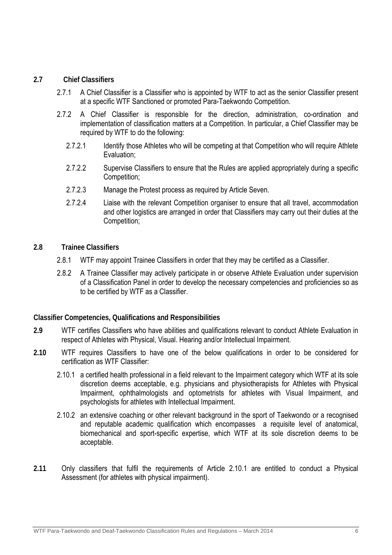## **2.7 Chief Classifiers**

- 2.7.1 A Chief Classifier is a Classifier who is appointed by WTF to act as the senior Classifier present at a specific WTF Sanctioned or promoted Para-Taekwondo Competition.
- 2.7.2 A Chief Classifier is responsible for the direction, administration, co-ordination and implementation of classification matters at a Competition. In particular, a Chief Classifier may be required by WTF to do the following:
	- 2.7.2.1 Identify those Athletes who will be competing at that Competition who will require Athlete Evaluation;
	- 2.7.2.2 Supervise Classifiers to ensure that the Rules are applied appropriately during a specific Competition;
	- 2.7.2.3 Manage the Protest process as required by Article Seven.
	- 2.7.2.4 Liaise with the relevant Competition organiser to ensure that all travel, accommodation and other logistics are arranged in order that Classifiers may carry out their duties at the Competition;
- **2.8 Trainee Classifiers** 
	- 2.8.1 WTF may appoint Trainee Classifiers in order that they may be certified as a Classifier.
	- 2.8.2 A Trainee Classifier may actively participate in or observe Athlete Evaluation under supervision of a Classification Panel in order to develop the necessary competencies and proficiencies so as to be certified by WTF as a Classifier.

**Classifier Competencies, Qualifications and Responsibilities** 

- **2.9** WTF certifies Classifiers who have abilities and qualifications relevant to conduct Athlete Evaluation in respect of Athletes with Physical, Visual. Hearing and/or Intellectual Impairment.
- **2.10** WTF requires Classifiers to have one of the below qualifications in order to be considered for certification as WTF Classifier:
	- 2.10.1 a certified health professional in a field relevant to the Impairment category which WTF at its sole discretion deems acceptable, e.g. physicians and physiotherapists for Athletes with Physical Impairment, ophthalmologists and optometrists for athletes with Visual Impairment, and psychologists for athletes with Intellectual Impairment.
	- 2.10.2 an extensive coaching or other relevant background in the sport of Taekwondo or a recognised and reputable academic qualification which encompasses a requisite level of anatomical, biomechanical and sport-specific expertise, which WTF at its sole discretion deems to be acceptable.
- **2.11** Only classifiers that fulfil the requirements of Article 2.10.1 are entitled to conduct a Physical Assessment (for athletes with physical impairment).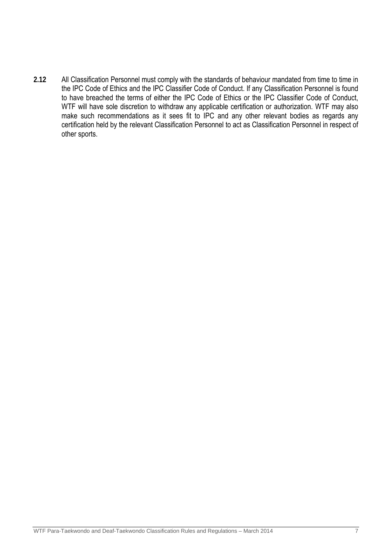**2.12** All Classification Personnel must comply with the standards of behaviour mandated from time to time in the IPC Code of Ethics and the IPC Classifier Code of Conduct. If any Classification Personnel is found to have breached the terms of either the IPC Code of Ethics or the IPC Classifier Code of Conduct, WTF will have sole discretion to withdraw any applicable certification or authorization. WTF may also make such recommendations as it sees fit to IPC and any other relevant bodies as regards any certification held by the relevant Classification Personnel to act as Classification Personnel in respect of other sports.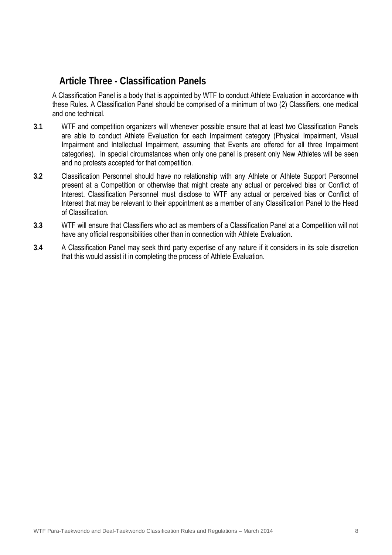## **Article Three - Classification Panels**

A Classification Panel is a body that is appointed by WTF to conduct Athlete Evaluation in accordance with these Rules. A Classification Panel should be comprised of a minimum of two (2) Classifiers, one medical and one technical.

- **3.1** WTF and competition organizers will whenever possible ensure that at least two Classification Panels are able to conduct Athlete Evaluation for each Impairment category (Physical Impairment, Visual Impairment and Intellectual Impairment, assuming that Events are offered for all three Impairment categories). In special circumstances when only one panel is present only New Athletes will be seen and no protests accepted for that competition.
- **3.2** Classification Personnel should have no relationship with any Athlete or Athlete Support Personnel present at a Competition or otherwise that might create any actual or perceived bias or Conflict of Interest. Classification Personnel must disclose to WTF any actual or perceived bias or Conflict of Interest that may be relevant to their appointment as a member of any Classification Panel to the Head of Classification.
- **3.3** WTF will ensure that Classifiers who act as members of a Classification Panel at a Competition will not have any official responsibilities other than in connection with Athlete Evaluation.
- **3.4** A Classification Panel may seek third party expertise of any nature if it considers in its sole discretion that this would assist it in completing the process of Athlete Evaluation.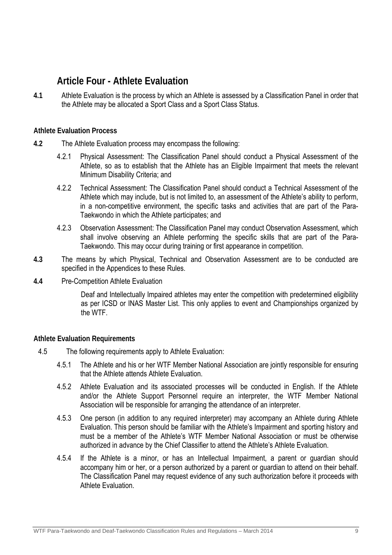## **Article Four - Athlete Evaluation**

**4.1** Athlete Evaluation is the process by which an Athlete is assessed by a Classification Panel in order that the Athlete may be allocated a Sport Class and a Sport Class Status.

## **Athlete Evaluation Process**

- **4.2** The Athlete Evaluation process may encompass the following:
	- 4.2.1 Physical Assessment: The Classification Panel should conduct a Physical Assessment of the Athlete, so as to establish that the Athlete has an Eligible Impairment that meets the relevant Minimum Disability Criteria; and
	- 4.2.2 Technical Assessment: The Classification Panel should conduct a Technical Assessment of the Athlete which may include, but is not limited to, an assessment of the Athlete's ability to perform, in a non-competitive environment, the specific tasks and activities that are part of the Para-Taekwondo in which the Athlete participates; and
	- 4.2.3 Observation Assessment: The Classification Panel may conduct Observation Assessment, which shall involve observing an Athlete performing the specific skills that are part of the Para-Taekwondo. This may occur during training or first appearance in competition.
- **4.3** The means by which Physical, Technical and Observation Assessment are to be conducted are specified in the Appendices to these Rules.
- **4.4** Pre-Competition Athlete Evaluation

Deaf and Intellectually Impaired athletes may enter the competition with predetermined eligibility as per ICSD or INAS Master List. This only applies to event and Championships organized by the WTF.

## **Athlete Evaluation Requirements**

- 4.5 The following requirements apply to Athlete Evaluation:
	- 4.5.1 The Athlete and his or her WTF Member National Association are jointly responsible for ensuring that the Athlete attends Athlete Evaluation.
	- 4.5.2 Athlete Evaluation and its associated processes will be conducted in English. If the Athlete and/or the Athlete Support Personnel require an interpreter, the WTF Member National Association will be responsible for arranging the attendance of an interpreter.
	- 4.5.3 One person (in addition to any required interpreter) may accompany an Athlete during Athlete Evaluation. This person should be familiar with the Athlete's Impairment and sporting history and must be a member of the Athlete's WTF Member National Association or must be otherwise authorized in advance by the Chief Classifier to attend the Athlete's Athlete Evaluation.
	- 4.5.4 If the Athlete is a minor, or has an Intellectual Impairment, a parent or guardian should accompany him or her, or a person authorized by a parent or guardian to attend on their behalf. The Classification Panel may request evidence of any such authorization before it proceeds with Athlete Evaluation.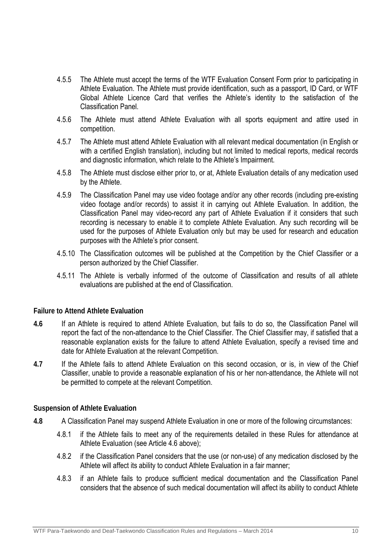- 4.5.5 The Athlete must accept the terms of the WTF Evaluation Consent Form prior to participating in Athlete Evaluation. The Athlete must provide identification, such as a passport, ID Card, or WTF Global Athlete Licence Card that verifies the Athlete's identity to the satisfaction of the Classification Panel.
- 4.5.6 The Athlete must attend Athlete Evaluation with all sports equipment and attire used in competition.
- 4.5.7 The Athlete must attend Athlete Evaluation with all relevant medical documentation (in English or with a certified English translation), including but not limited to medical reports, medical records and diagnostic information, which relate to the Athlete's Impairment.
- 4.5.8 The Athlete must disclose either prior to, or at, Athlete Evaluation details of any medication used by the Athlete.
- 4.5.9 The Classification Panel may use video footage and/or any other records (including pre-existing video footage and/or records) to assist it in carrying out Athlete Evaluation. In addition, the Classification Panel may video-record any part of Athlete Evaluation if it considers that such recording is necessary to enable it to complete Athlete Evaluation. Any such recording will be used for the purposes of Athlete Evaluation only but may be used for research and education purposes with the Athlete's prior consent.
- 4.5.10 The Classification outcomes will be published at the Competition by the Chief Classifier or a person authorized by the Chief Classifier.
- 4.5.11 The Athlete is verbally informed of the outcome of Classification and results of all athlete evaluations are published at the end of Classification.

## **Failure to Attend Athlete Evaluation**

- **4.6** If an Athlete is required to attend Athlete Evaluation, but fails to do so, the Classification Panel will report the fact of the non-attendance to the Chief Classifier. The Chief Classifier may, if satisfied that a reasonable explanation exists for the failure to attend Athlete Evaluation, specify a revised time and date for Athlete Evaluation at the relevant Competition.
- **4.7** If the Athlete fails to attend Athlete Evaluation on this second occasion, or is, in view of the Chief Classifier, unable to provide a reasonable explanation of his or her non-attendance, the Athlete will not be permitted to compete at the relevant Competition.

## **Suspension of Athlete Evaluation**

- **4.8** A Classification Panel may suspend Athlete Evaluation in one or more of the following circumstances:
	- 4.8.1 if the Athlete fails to meet any of the requirements detailed in these Rules for attendance at Athlete Evaluation (see Article 4.6 above);
	- 4.8.2 if the Classification Panel considers that the use (or non-use) of any medication disclosed by the Athlete will affect its ability to conduct Athlete Evaluation in a fair manner;
	- 4.8.3 if an Athlete fails to produce sufficient medical documentation and the Classification Panel considers that the absence of such medical documentation will affect its ability to conduct Athlete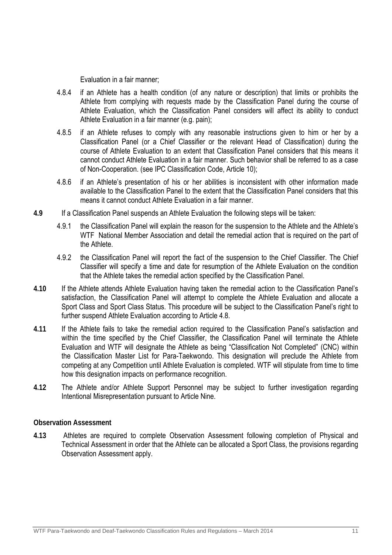Evaluation in a fair manner;

- 4.8.4 if an Athlete has a health condition (of any nature or description) that limits or prohibits the Athlete from complying with requests made by the Classification Panel during the course of Athlete Evaluation, which the Classification Panel considers will affect its ability to conduct Athlete Evaluation in a fair manner (e.g. pain);
- 4.8.5 if an Athlete refuses to comply with any reasonable instructions given to him or her by a Classification Panel (or a Chief Classifier or the relevant Head of Classification) during the course of Athlete Evaluation to an extent that Classification Panel considers that this means it cannot conduct Athlete Evaluation in a fair manner. Such behavior shall be referred to as a case of Non-Cooperation. (see IPC Classification Code, Article 10);
- 4.8.6 if an Athlete's presentation of his or her abilities is inconsistent with other information made available to the Classification Panel to the extent that the Classification Panel considers that this means it cannot conduct Athlete Evaluation in a fair manner.
- **4.9** If a Classification Panel suspends an Athlete Evaluation the following steps will be taken:
	- 4.9.1 the Classification Panel will explain the reason for the suspension to the Athlete and the Athlete's WTF National Member Association and detail the remedial action that is required on the part of the Athlete.
	- 4.9.2 the Classification Panel will report the fact of the suspension to the Chief Classifier. The Chief Classifier will specify a time and date for resumption of the Athlete Evaluation on the condition that the Athlete takes the remedial action specified by the Classification Panel.
- **4.10** If the Athlete attends Athlete Evaluation having taken the remedial action to the Classification Panel's satisfaction, the Classification Panel will attempt to complete the Athlete Evaluation and allocate a Sport Class and Sport Class Status. This procedure will be subject to the Classification Panel's right to further suspend Athlete Evaluation according to Article 4.8.
- **4.11** If the Athlete fails to take the remedial action required to the Classification Panel's satisfaction and within the time specified by the Chief Classifier, the Classification Panel will terminate the Athlete Evaluation and WTF will designate the Athlete as being "Classification Not Completed" (CNC) within the Classification Master List for Para-Taekwondo. This designation will preclude the Athlete from competing at any Competition until Athlete Evaluation is completed. WTF will stipulate from time to time how this designation impacts on performance recognition.
- **4.12** The Athlete and/or Athlete Support Personnel may be subject to further investigation regarding Intentional Misrepresentation pursuant to Article Nine.

## **Observation Assessment**

**4.13** Athletes are required to complete Observation Assessment following completion of Physical and Technical Assessment in order that the Athlete can be allocated a Sport Class, the provisions regarding Observation Assessment apply.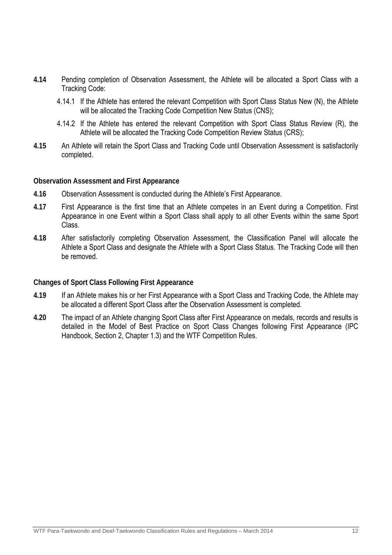- **4.14** Pending completion of Observation Assessment, the Athlete will be allocated a Sport Class with a Tracking Code:
	- 4.14.1 If the Athlete has entered the relevant Competition with Sport Class Status New (N), the Athlete will be allocated the Tracking Code Competition New Status (CNS);
	- 4.14.2 If the Athlete has entered the relevant Competition with Sport Class Status Review (R), the Athlete will be allocated the Tracking Code Competition Review Status (CRS);
- **4.15** An Athlete will retain the Sport Class and Tracking Code until Observation Assessment is satisfactorily completed.

## **Observation Assessment and First Appearance**

- **4.16** Observation Assessment is conducted during the Athlete's First Appearance.
- **4.17** First Appearance is the first time that an Athlete competes in an Event during a Competition. First Appearance in one Event within a Sport Class shall apply to all other Events within the same Sport Class.
- **4.18** After satisfactorily completing Observation Assessment, the Classification Panel will allocate the Athlete a Sport Class and designate the Athlete with a Sport Class Status. The Tracking Code will then be removed.

## **Changes of Sport Class Following First Appearance**

- **4.19** If an Athlete makes his or her First Appearance with a Sport Class and Tracking Code, the Athlete may be allocated a different Sport Class after the Observation Assessment is completed.
- **4.20** The impact of an Athlete changing Sport Class after First Appearance on medals, records and results is detailed in the Model of Best Practice on Sport Class Changes following First Appearance (IPC Handbook, Section 2, Chapter 1.3) and the WTF Competition Rules.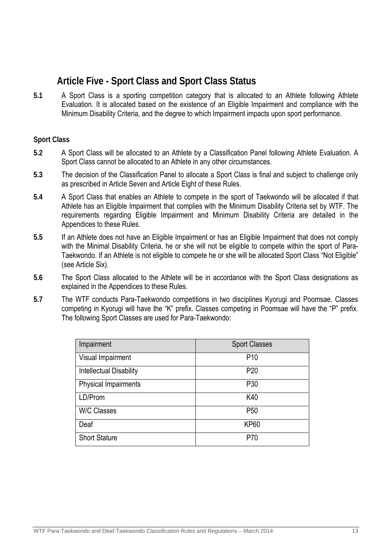## **Article Five - Sport Class and Sport Class Status**

**5.1** A Sport Class is a sporting competition category that is allocated to an Athlete following Athlete Evaluation. It is allocated based on the existence of an Eligible Impairment and compliance with the Minimum Disability Criteria, and the degree to which Impairment impacts upon sport performance.

## **Sport Class**

- **5.2** A Sport Class will be allocated to an Athlete by a Classification Panel following Athlete Evaluation. A Sport Class cannot be allocated to an Athlete in any other circumstances.
- **5.3** The decision of the Classification Panel to allocate a Sport Class is final and subject to challenge only as prescribed in Article Seven and Article Eight of these Rules.
- **5.4** A Sport Class that enables an Athlete to compete in the sport of Taekwondo will be allocated if that Athlete has an Eligible Impairment that complies with the Minimum Disability Criteria set by WTF. The requirements regarding Eligible Impairment and Minimum Disability Criteria are detailed in the Appendices to these Rules.
- **5.5** If an Athlete does not have an Eligible Impairment or has an Eligible Impairment that does not comply with the Minimal Disability Criteria, he or she will not be eligible to compete within the sport of Para-Taekwondo. If an Athlete is not eligible to compete he or she will be allocated Sport Class "Not Eligible" (see Article Six).
- **5.6** The Sport Class allocated to the Athlete will be in accordance with the Sport Class designations as explained in the Appendices to these Rules.
- **5.7** The WTF conducts Para-Taekwondo competitions in two disciplines Kyorugi and Poomsae. Classes competing in Kyorugi will have the "K" prefix. Classes competing in Poomsae will have the "P" prefix. The following Sport Classes are used for Para-Taekwondo:

| Impairment                     | <b>Sport Classes</b> |
|--------------------------------|----------------------|
| Visual Impairment              | P <sub>10</sub>      |
| <b>Intellectual Disability</b> | P <sub>20</sub>      |
| <b>Physical Impairments</b>    | P30                  |
| LD/Prom                        | K40                  |
| <b>W/C Classes</b>             | P <sub>50</sub>      |
| Deaf                           | <b>KP60</b>          |
| <b>Short Stature</b>           | P70                  |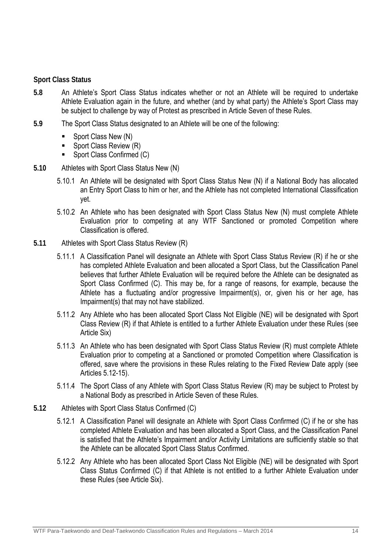## **Sport Class Status**

- **5.8** An Athlete's Sport Class Status indicates whether or not an Athlete will be required to undertake Athlete Evaluation again in the future, and whether (and by what party) the Athlete's Sport Class may be subject to challenge by way of Protest as prescribed in Article Seven of these Rules.
- **5.9** The Sport Class Status designated to an Athlete will be one of the following:
	- $\blacksquare$  Sport Class New (N)
	- Sport Class Review (R)
	- Sport Class Confirmed (C)
- **5.10** Athletes with Sport Class Status New (N)
	- 5.10.1 An Athlete will be designated with Sport Class Status New (N) if a National Body has allocated an Entry Sport Class to him or her, and the Athlete has not completed International Classification yet.
	- 5.10.2 An Athlete who has been designated with Sport Class Status New (N) must complete Athlete Evaluation prior to competing at any WTF Sanctioned or promoted Competition where Classification is offered.
- **5.11** Athletes with Sport Class Status Review (R)
	- 5.11.1 A Classification Panel will designate an Athlete with Sport Class Status Review (R) if he or she has completed Athlete Evaluation and been allocated a Sport Class, but the Classification Panel believes that further Athlete Evaluation will be required before the Athlete can be designated as Sport Class Confirmed (C). This may be, for a range of reasons, for example, because the Athlete has a fluctuating and/or progressive Impairment(s), or, given his or her age, has Impairment(s) that may not have stabilized.
	- 5.11.2 Any Athlete who has been allocated Sport Class Not Eligible (NE) will be designated with Sport Class Review (R) if that Athlete is entitled to a further Athlete Evaluation under these Rules (see Article Six)
	- 5.11.3 An Athlete who has been designated with Sport Class Status Review (R) must complete Athlete Evaluation prior to competing at a Sanctioned or promoted Competition where Classification is offered, save where the provisions in these Rules relating to the Fixed Review Date apply (see Articles 5.12-15).
	- 5.11.4 The Sport Class of any Athlete with Sport Class Status Review (R) may be subject to Protest by a National Body as prescribed in Article Seven of these Rules.
- **5.12** Athletes with Sport Class Status Confirmed (C)
	- 5.12.1 A Classification Panel will designate an Athlete with Sport Class Confirmed (C) if he or she has completed Athlete Evaluation and has been allocated a Sport Class, and the Classification Panel is satisfied that the Athlete's Impairment and/or Activity Limitations are sufficiently stable so that the Athlete can be allocated Sport Class Status Confirmed.
	- 5.12.2 Any Athlete who has been allocated Sport Class Not Eligible (NE) will be designated with Sport Class Status Confirmed (C) if that Athlete is not entitled to a further Athlete Evaluation under these Rules (see Article Six).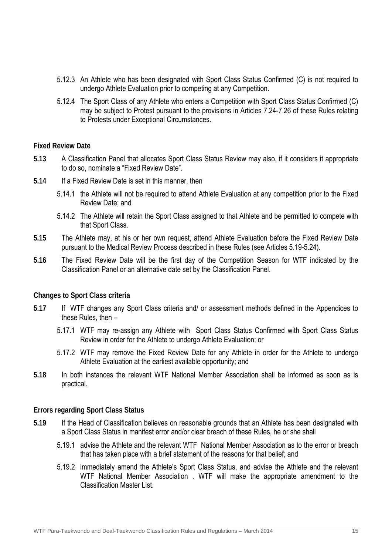- 5.12.3 An Athlete who has been designated with Sport Class Status Confirmed (C) is not required to undergo Athlete Evaluation prior to competing at any Competition.
- 5.12.4 The Sport Class of any Athlete who enters a Competition with Sport Class Status Confirmed (C) may be subject to Protest pursuant to the provisions in Articles 7.24-7.26 of these Rules relating to Protests under Exceptional Circumstances.

## **Fixed Review Date**

- **5.13** A Classification Panel that allocates Sport Class Status Review may also, if it considers it appropriate to do so, nominate a "Fixed Review Date".
- **5.14** If a Fixed Review Date is set in this manner, then
	- 5.14.1 the Athlete will not be required to attend Athlete Evaluation at any competition prior to the Fixed Review Date; and
	- 5.14.2 The Athlete will retain the Sport Class assigned to that Athlete and be permitted to compete with that Sport Class.
- **5.15** The Athlete may, at his or her own request, attend Athlete Evaluation before the Fixed Review Date pursuant to the Medical Review Process described in these Rules (see Articles 5.19-5.24).
- **5.16** The Fixed Review Date will be the first day of the Competition Season for WTF indicated by the Classification Panel or an alternative date set by the Classification Panel.

## **Changes to Sport Class criteria**

- **5.17** If WTF changes any Sport Class criteria and/ or assessment methods defined in the Appendices to these Rules, then –
	- 5.17.1 WTF may re-assign any Athlete with Sport Class Status Confirmed with Sport Class Status Review in order for the Athlete to undergo Athlete Evaluation; or
	- 5.17.2 WTF may remove the Fixed Review Date for any Athlete in order for the Athlete to undergo Athlete Evaluation at the earliest available opportunity; and
- **5.18** In both instances the relevant WTF National Member Association shall be informed as soon as is practical.

## **Errors regarding Sport Class Status**

- **5.19** If the Head of Classification believes on reasonable grounds that an Athlete has been designated with a Sport Class Status in manifest error and/or clear breach of these Rules, he or she shall
	- 5.19.1 advise the Athlete and the relevant WTF National Member Association as to the error or breach that has taken place with a brief statement of the reasons for that belief; and
	- 5.19.2 immediately amend the Athlete's Sport Class Status, and advise the Athlete and the relevant WTF National Member Association . WTF will make the appropriate amendment to the Classification Master List.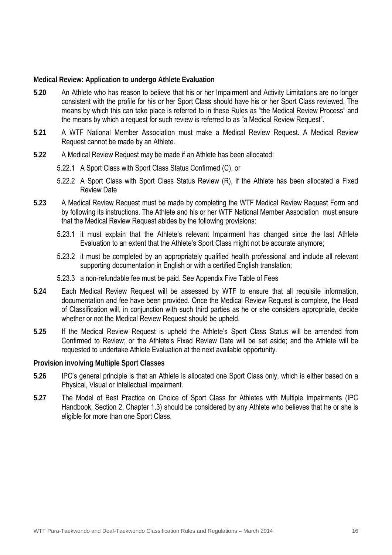## **Medical Review: Application to undergo Athlete Evaluation**

- **5.20** An Athlete who has reason to believe that his or her Impairment and Activity Limitations are no longer consistent with the profile for his or her Sport Class should have his or her Sport Class reviewed. The means by which this can take place is referred to in these Rules as "the Medical Review Process" and the means by which a request for such review is referred to as "a Medical Review Request".
- **5.21** A WTF National Member Association must make a Medical Review Request. A Medical Review Request cannot be made by an Athlete.
- **5.22** A Medical Review Request may be made if an Athlete has been allocated:
	- 5.22.1 A Sport Class with Sport Class Status Confirmed (C), or
	- 5.22.2 A Sport Class with Sport Class Status Review (R), if the Athlete has been allocated a Fixed Review Date
- **5.23** A Medical Review Request must be made by completing the WTF Medical Review Request Form and by following its instructions. The Athlete and his or her WTF National Member Association must ensure that the Medical Review Request abides by the following provisions:
	- 5.23.1 it must explain that the Athlete's relevant Impairment has changed since the last Athlete Evaluation to an extent that the Athlete's Sport Class might not be accurate anymore;
	- 5.23.2 it must be completed by an appropriately qualified health professional and include all relevant supporting documentation in English or with a certified English translation;
	- 5.23.3 a non-refundable fee must be paid. See Appendix Five Table of Fees
- **5.24** Each Medical Review Request will be assessed by WTF to ensure that all requisite information, documentation and fee have been provided. Once the Medical Review Request is complete, the Head of Classification will, in conjunction with such third parties as he or she considers appropriate, decide whether or not the Medical Review Request should be upheld.
- **5.25** If the Medical Review Request is upheld the Athlete's Sport Class Status will be amended from Confirmed to Review; or the Athlete's Fixed Review Date will be set aside; and the Athlete will be requested to undertake Athlete Evaluation at the next available opportunity.

## **Provision involving Multiple Sport Classes**

- **5.26** IPC's general principle is that an Athlete is allocated one Sport Class only, which is either based on a Physical, Visual or Intellectual Impairment.
- **5.27** The Model of Best Practice on Choice of Sport Class for Athletes with Multiple Impairments (IPC Handbook, Section 2, Chapter 1.3) should be considered by any Athlete who believes that he or she is eligible for more than one Sport Class.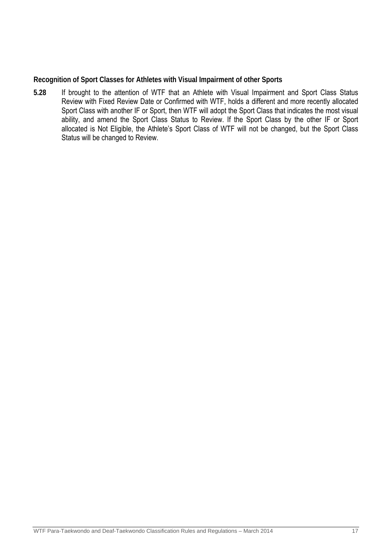**Recognition of Sport Classes for Athletes with Visual Impairment of other Sports** 

**5.28** If brought to the attention of WTF that an Athlete with Visual Impairment and Sport Class Status Review with Fixed Review Date or Confirmed with WTF, holds a different and more recently allocated Sport Class with another IF or Sport, then WTF will adopt the Sport Class that indicates the most visual ability, and amend the Sport Class Status to Review. If the Sport Class by the other IF or Sport allocated is Not Eligible, the Athlete's Sport Class of WTF will not be changed, but the Sport Class Status will be changed to Review.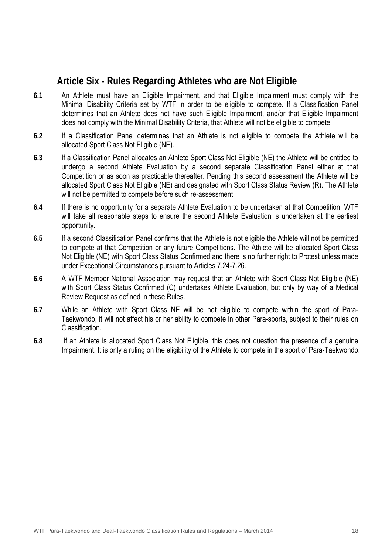## **Article Six - Rules Regarding Athletes who are Not Eligible**

- **6.1** An Athlete must have an Eligible Impairment, and that Eligible Impairment must comply with the Minimal Disability Criteria set by WTF in order to be eligible to compete. If a Classification Panel determines that an Athlete does not have such Eligible Impairment, and/or that Eligible Impairment does not comply with the Minimal Disability Criteria, that Athlete will not be eligible to compete.
- **6.2** If a Classification Panel determines that an Athlete is not eligible to compete the Athlete will be allocated Sport Class Not Eligible (NE).
- **6.3** If a Classification Panel allocates an Athlete Sport Class Not Eligible (NE) the Athlete will be entitled to undergo a second Athlete Evaluation by a second separate Classification Panel either at that Competition or as soon as practicable thereafter. Pending this second assessment the Athlete will be allocated Sport Class Not Eligible (NE) and designated with Sport Class Status Review (R). The Athlete will not be permitted to compete before such re-assessment.
- **6.4** If there is no opportunity for a separate Athlete Evaluation to be undertaken at that Competition, WTF will take all reasonable steps to ensure the second Athlete Evaluation is undertaken at the earliest opportunity.
- **6.5** If a second Classification Panel confirms that the Athlete is not eligible the Athlete will not be permitted to compete at that Competition or any future Competitions. The Athlete will be allocated Sport Class Not Eligible (NE) with Sport Class Status Confirmed and there is no further right to Protest unless made under Exceptional Circumstances pursuant to Articles 7.24-7.26.
- **6.6** A WTF Member National Association may request that an Athlete with Sport Class Not Eligible (NE) with Sport Class Status Confirmed (C) undertakes Athlete Evaluation, but only by way of a Medical Review Request as defined in these Rules.
- **6.7** While an Athlete with Sport Class NE will be not eligible to compete within the sport of Para-Taekwondo, it will not affect his or her ability to compete in other Para-sports, subject to their rules on Classification.
- **6.8** If an Athlete is allocated Sport Class Not Eligible, this does not question the presence of a genuine Impairment. It is only a ruling on the eligibility of the Athlete to compete in the sport of Para-Taekwondo.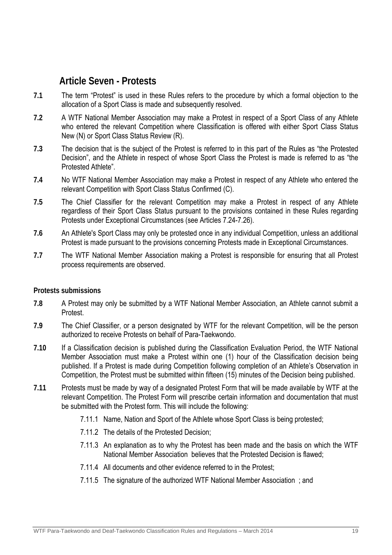## **Article Seven - Protests**

- **7.1** The term "Protest" is used in these Rules refers to the procedure by which a formal objection to the allocation of a Sport Class is made and subsequently resolved.
- **7.2** A WTF National Member Association may make a Protest in respect of a Sport Class of any Athlete who entered the relevant Competition where Classification is offered with either Sport Class Status New (N) or Sport Class Status Review (R).
- **7.3** The decision that is the subject of the Protest is referred to in this part of the Rules as "the Protested Decision", and the Athlete in respect of whose Sport Class the Protest is made is referred to as "the Protested Athlete".
- **7.4** No WTF National Member Association may make a Protest in respect of any Athlete who entered the relevant Competition with Sport Class Status Confirmed (C).
- **7.5** The Chief Classifier for the relevant Competition may make a Protest in respect of any Athlete regardless of their Sport Class Status pursuant to the provisions contained in these Rules regarding Protests under Exceptional Circumstances (see Articles 7.24-7.26).
- **7.6** An Athlete's Sport Class may only be protested once in any individual Competition, unless an additional Protest is made pursuant to the provisions concerning Protests made in Exceptional Circumstances.
- **7.7** The WTF National Member Association making a Protest is responsible for ensuring that all Protest process requirements are observed.

## **Protests submissions**

- **7.8** A Protest may only be submitted by a WTF National Member Association, an Athlete cannot submit a **Protest**
- **7.9** The Chief Classifier, or a person designated by WTF for the relevant Competition, will be the person authorized to receive Protests on behalf of Para-Taekwondo.
- **7.10** If a Classification decision is published during the Classification Evaluation Period, the WTF National Member Association must make a Protest within one (1) hour of the Classification decision being published. If a Protest is made during Competition following completion of an Athlete's Observation in Competition, the Protest must be submitted within fifteen (15) minutes of the Decision being published.
- **7.11** Protests must be made by way of a designated Protest Form that will be made available by WTF at the relevant Competition. The Protest Form will prescribe certain information and documentation that must be submitted with the Protest form. This will include the following:
	- 7.11.1 Name, Nation and Sport of the Athlete whose Sport Class is being protested;
	- 7.11.2 The details of the Protested Decision;
	- 7.11.3 An explanation as to why the Protest has been made and the basis on which the WTF National Member Association believes that the Protested Decision is flawed;
	- 7.11.4 All documents and other evidence referred to in the Protest;
	- 7.11.5 The signature of the authorized WTF National Member Association ; and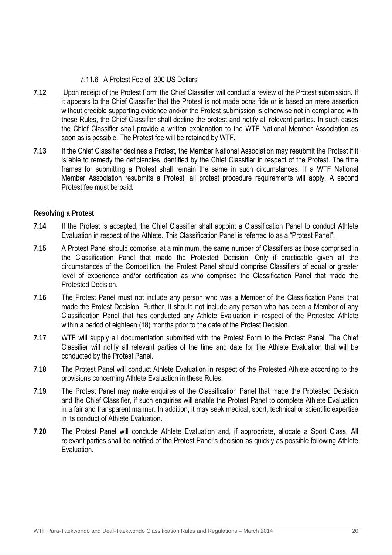## 7.11.6 A Protest Fee of 300 US Dollars

- **7.12** Upon receipt of the Protest Form the Chief Classifier will conduct a review of the Protest submission. If it appears to the Chief Classifier that the Protest is not made bona fide or is based on mere assertion without credible supporting evidence and/or the Protest submission is otherwise not in compliance with these Rules, the Chief Classifier shall decline the protest and notify all relevant parties. In such cases the Chief Classifier shall provide a written explanation to the WTF National Member Association as soon as is possible. The Protest fee will be retained by WTF.
- **7.13** If the Chief Classifier declines a Protest, the Member National Association may resubmit the Protest if it is able to remedy the deficiencies identified by the Chief Classifier in respect of the Protest. The time frames for submitting a Protest shall remain the same in such circumstances. If a WTF National Member Association resubmits a Protest, all protest procedure requirements will apply. A second Protest fee must be paid.

## **Resolving a Protest**

- **7.14** If the Protest is accepted, the Chief Classifier shall appoint a Classification Panel to conduct Athlete Evaluation in respect of the Athlete. This Classification Panel is referred to as a "Protest Panel".
- **7.15** A Protest Panel should comprise, at a minimum, the same number of Classifiers as those comprised in the Classification Panel that made the Protested Decision. Only if practicable given all the circumstances of the Competition, the Protest Panel should comprise Classifiers of equal or greater level of experience and/or certification as who comprised the Classification Panel that made the Protested Decision.
- **7.16** The Protest Panel must not include any person who was a Member of the Classification Panel that made the Protest Decision. Further, it should not include any person who has been a Member of any Classification Panel that has conducted any Athlete Evaluation in respect of the Protested Athlete within a period of eighteen (18) months prior to the date of the Protest Decision.
- **7.17** WTF will supply all documentation submitted with the Protest Form to the Protest Panel. The Chief Classifier will notify all relevant parties of the time and date for the Athlete Evaluation that will be conducted by the Protest Panel.
- **7.18** The Protest Panel will conduct Athlete Evaluation in respect of the Protested Athlete according to the provisions concerning Athlete Evaluation in these Rules.
- **7.19** The Protest Panel may make enquires of the Classification Panel that made the Protested Decision and the Chief Classifier, if such enquiries will enable the Protest Panel to complete Athlete Evaluation in a fair and transparent manner. In addition, it may seek medical, sport, technical or scientific expertise in its conduct of Athlete Evaluation.
- **7.20** The Protest Panel will conclude Athlete Evaluation and, if appropriate, allocate a Sport Class. All relevant parties shall be notified of the Protest Panel's decision as quickly as possible following Athlete Evaluation.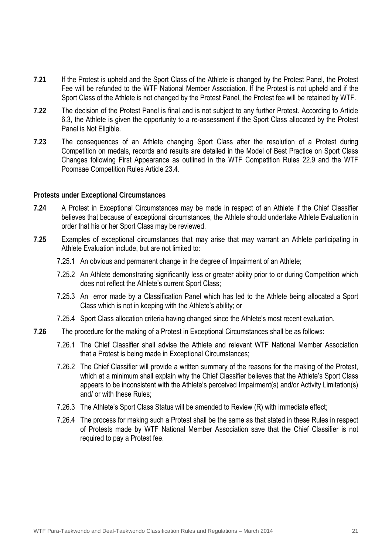- **7.21** If the Protest is upheld and the Sport Class of the Athlete is changed by the Protest Panel, the Protest Fee will be refunded to the WTF National Member Association. If the Protest is not upheld and if the Sport Class of the Athlete is not changed by the Protest Panel, the Protest fee will be retained by WTF.
- **7.22** The decision of the Protest Panel is final and is not subject to any further Protest. According to Article 6.3, the Athlete is given the opportunity to a re-assessment if the Sport Class allocated by the Protest Panel is Not Eligible.
- **7.23** The consequences of an Athlete changing Sport Class after the resolution of a Protest during Competition on medals, records and results are detailed in the Model of Best Practice on Sport Class Changes following First Appearance as outlined in the WTF Competition Rules 22.9 and the WTF Poomsae Competition Rules Article 23.4.

## **Protests under Exceptional Circumstances**

- **7.24** A Protest in Exceptional Circumstances may be made in respect of an Athlete if the Chief Classifier believes that because of exceptional circumstances, the Athlete should undertake Athlete Evaluation in order that his or her Sport Class may be reviewed.
- **7.25** Examples of exceptional circumstances that may arise that may warrant an Athlete participating in Athlete Evaluation include, but are not limited to:
	- 7.25.1 An obvious and permanent change in the degree of Impairment of an Athlete;
	- 7.25.2 An Athlete demonstrating significantly less or greater ability prior to or during Competition which does not reflect the Athlete's current Sport Class;
	- 7.25.3 An error made by a Classification Panel which has led to the Athlete being allocated a Sport Class which is not in keeping with the Athlete's ability; or
	- 7.25.4 Sport Class allocation criteria having changed since the Athlete's most recent evaluation.
- **7.26** The procedure for the making of a Protest in Exceptional Circumstances shall be as follows:
	- 7.26.1 The Chief Classifier shall advise the Athlete and relevant WTF National Member Association that a Protest is being made in Exceptional Circumstances;
	- 7.26.2 The Chief Classifier will provide a written summary of the reasons for the making of the Protest, which at a minimum shall explain why the Chief Classifier believes that the Athlete's Sport Class appears to be inconsistent with the Athlete's perceived Impairment(s) and/or Activity Limitation(s) and/ or with these Rules;
	- 7.26.3 The Athlete's Sport Class Status will be amended to Review (R) with immediate effect;
	- 7.26.4 The process for making such a Protest shall be the same as that stated in these Rules in respect of Protests made by WTF National Member Association save that the Chief Classifier is not required to pay a Protest fee.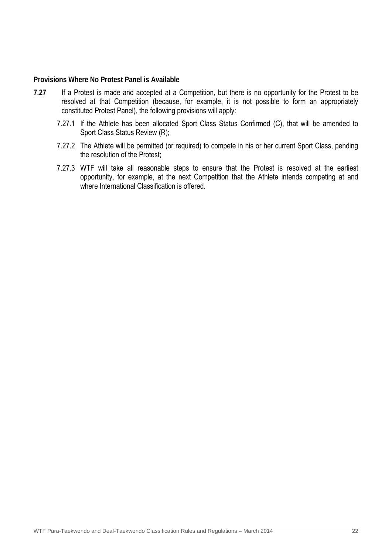## **Provisions Where No Protest Panel is Available**

- **7.27** If a Protest is made and accepted at a Competition, but there is no opportunity for the Protest to be resolved at that Competition (because, for example, it is not possible to form an appropriately constituted Protest Panel), the following provisions will apply:
	- 7.27.1 If the Athlete has been allocated Sport Class Status Confirmed (C), that will be amended to Sport Class Status Review (R);
	- 7.27.2 The Athlete will be permitted (or required) to compete in his or her current Sport Class, pending the resolution of the Protest;
	- 7.27.3 WTF will take all reasonable steps to ensure that the Protest is resolved at the earliest opportunity, for example, at the next Competition that the Athlete intends competing at and where International Classification is offered.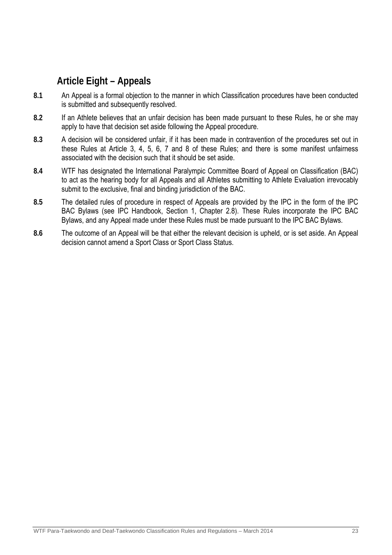## **Article Eight – Appeals**

- **8.1** An Appeal is a formal objection to the manner in which Classification procedures have been conducted is submitted and subsequently resolved.
- **8.2** If an Athlete believes that an unfair decision has been made pursuant to these Rules, he or she may apply to have that decision set aside following the Appeal procedure.
- **8.3** A decision will be considered unfair, if it has been made in contravention of the procedures set out in these Rules at Article 3, 4, 5, 6, 7 and 8 of these Rules; and there is some manifest unfairness associated with the decision such that it should be set aside.
- **8.4** WTF has designated the International Paralympic Committee Board of Appeal on Classification (BAC) to act as the hearing body for all Appeals and all Athletes submitting to Athlete Evaluation irrevocably submit to the exclusive, final and binding jurisdiction of the BAC.
- **8.5** The detailed rules of procedure in respect of Appeals are provided by the IPC in the form of the IPC BAC Bylaws (see IPC Handbook, Section 1, Chapter 2.8). These Rules incorporate the IPC BAC Bylaws, and any Appeal made under these Rules must be made pursuant to the IPC BAC Bylaws.
- **8.6** The outcome of an Appeal will be that either the relevant decision is upheld, or is set aside. An Appeal decision cannot amend a Sport Class or Sport Class Status.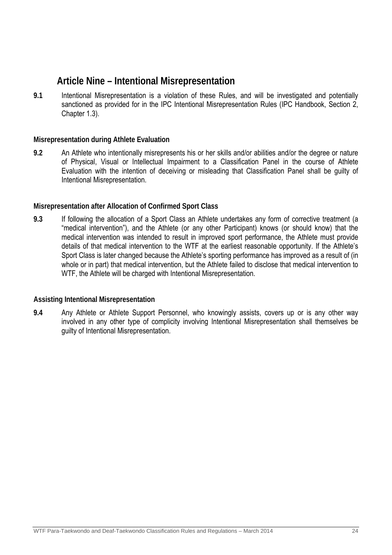## **Article Nine – Intentional Misrepresentation**

**9.1** Intentional Misrepresentation is a violation of these Rules, and will be investigated and potentially sanctioned as provided for in the IPC Intentional Misrepresentation Rules (IPC Handbook, Section 2, Chapter 1.3).

## **Misrepresentation during Athlete Evaluation**

**9.2** An Athlete who intentionally misrepresents his or her skills and/or abilities and/or the degree or nature of Physical, Visual or Intellectual Impairment to a Classification Panel in the course of Athlete Evaluation with the intention of deceiving or misleading that Classification Panel shall be guilty of Intentional Misrepresentation.

## **Misrepresentation after Allocation of Confirmed Sport Class**

**9.3** If following the allocation of a Sport Class an Athlete undertakes any form of corrective treatment (a "medical intervention"), and the Athlete (or any other Participant) knows (or should know) that the medical intervention was intended to result in improved sport performance, the Athlete must provide details of that medical intervention to the WTF at the earliest reasonable opportunity. If the Athlete's Sport Class is later changed because the Athlete's sporting performance has improved as a result of (in whole or in part) that medical intervention, but the Athlete failed to disclose that medical intervention to WTF, the Athlete will be charged with Intentional Misrepresentation.

## **Assisting Intentional Misrepresentation**

**9.4** Any Athlete or Athlete Support Personnel, who knowingly assists, covers up or is any other way involved in any other type of complicity involving Intentional Misrepresentation shall themselves be guilty of Intentional Misrepresentation.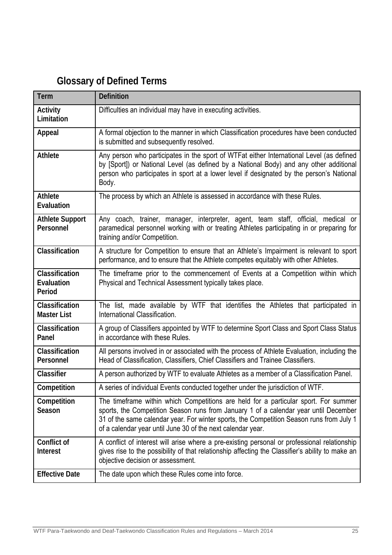## **Glossary of Defined Terms**

| <b>Term</b>                            | <b>Definition</b>                                                                                                                                                                                                                                                                                                                      |
|----------------------------------------|----------------------------------------------------------------------------------------------------------------------------------------------------------------------------------------------------------------------------------------------------------------------------------------------------------------------------------------|
| Activity<br>Limitation                 | Difficulties an individual may have in executing activities.                                                                                                                                                                                                                                                                           |
| Appeal                                 | A formal objection to the manner in which Classification procedures have been conducted<br>is submitted and subsequently resolved.                                                                                                                                                                                                     |
| Athlete                                | Any person who participates in the sport of WTFat either International Level (as defined<br>by [Sport]) or National Level (as defined by a National Body) and any other additional<br>person who participates in sport at a lower level if designated by the person's National<br>Body.                                                |
| Athlete<br>Evaluation                  | The process by which an Athlete is assessed in accordance with these Rules.                                                                                                                                                                                                                                                            |
| <b>Athlete Support</b><br>Personnel    | Any coach, trainer, manager, interpreter, agent, team staff, official, medical or<br>paramedical personnel working with or treating Athletes participating in or preparing for<br>training and/or Competition.                                                                                                                         |
| Classification                         | A structure for Competition to ensure that an Athlete's Impairment is relevant to sport<br>performance, and to ensure that the Athlete competes equitably with other Athletes.                                                                                                                                                         |
| Classification<br>Evaluation<br>Period | The timeframe prior to the commencement of Events at a Competition within which<br>Physical and Technical Assessment typically takes place.                                                                                                                                                                                            |
| Classification<br><b>Master List</b>   | The list, made available by WTF that identifies the Athletes that participated in<br>International Classification.                                                                                                                                                                                                                     |
| Classification<br>Panel                | A group of Classifiers appointed by WTF to determine Sport Class and Sport Class Status<br>in accordance with these Rules.                                                                                                                                                                                                             |
| Classification<br>Personnel            | All persons involved in or associated with the process of Athlete Evaluation, including the<br>Head of Classification, Classifiers, Chief Classifiers and Trainee Classifiers.                                                                                                                                                         |
| Classifier                             | A person authorized by WTF to evaluate Athletes as a member of a Classification Panel.                                                                                                                                                                                                                                                 |
| Competition                            | A series of individual Events conducted together under the jurisdiction of WTF.                                                                                                                                                                                                                                                        |
| Competition<br>Season                  | The timeframe within which Competitions are held for a particular sport. For summer<br>sports, the Competition Season runs from January 1 of a calendar year until December<br>31 of the same calendar year. For winter sports, the Competition Season runs from July 1<br>of a calendar year until June 30 of the next calendar year. |
| Conflict of<br>Interest                | A conflict of interest will arise where a pre-existing personal or professional relationship<br>gives rise to the possibility of that relationship affecting the Classifier's ability to make an<br>objective decision or assessment.                                                                                                  |
| <b>Effective Date</b>                  | The date upon which these Rules come into force.                                                                                                                                                                                                                                                                                       |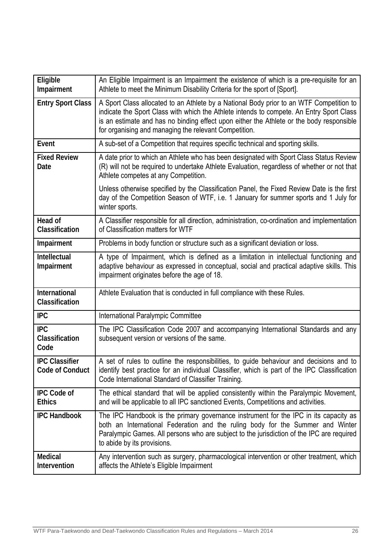| Eligible<br>Impairment                          | An Eligible Impairment is an Impairment the existence of which is a pre-requisite for an<br>Athlete to meet the Minimum Disability Criteria for the sport of [Sport].                                                                                                                                                                    |
|-------------------------------------------------|------------------------------------------------------------------------------------------------------------------------------------------------------------------------------------------------------------------------------------------------------------------------------------------------------------------------------------------|
| <b>Entry Sport Class</b>                        | A Sport Class allocated to an Athlete by a National Body prior to an WTF Competition to<br>indicate the Sport Class with which the Athlete intends to compete. An Entry Sport Class<br>is an estimate and has no binding effect upon either the Athlete or the body responsible<br>for organising and managing the relevant Competition. |
| Event                                           | A sub-set of a Competition that requires specific technical and sporting skills.                                                                                                                                                                                                                                                         |
| <b>Fixed Review</b><br>Date                     | A date prior to which an Athlete who has been designated with Sport Class Status Review<br>(R) will not be required to undertake Athlete Evaluation, regardless of whether or not that<br>Athlete competes at any Competition.                                                                                                           |
|                                                 | Unless otherwise specified by the Classification Panel, the Fixed Review Date is the first<br>day of the Competition Season of WTF, i.e. 1 January for summer sports and 1 July for<br>winter sports.                                                                                                                                    |
| Head of<br>Classification                       | A Classifier responsible for all direction, administration, co-ordination and implementation<br>of Classification matters for WTF                                                                                                                                                                                                        |
| Impairment                                      | Problems in body function or structure such as a significant deviation or loss.                                                                                                                                                                                                                                                          |
| <b>Intellectual</b><br>Impairment               | A type of Impairment, which is defined as a limitation in intellectual functioning and<br>adaptive behaviour as expressed in conceptual, social and practical adaptive skills. This<br>impairment originates before the age of 18.                                                                                                       |
| International<br>Classification                 | Athlete Evaluation that is conducted in full compliance with these Rules.                                                                                                                                                                                                                                                                |
| <b>IPC</b>                                      | International Paralympic Committee                                                                                                                                                                                                                                                                                                       |
| <b>IPC</b><br>Classification<br>Code            | The IPC Classification Code 2007 and accompanying International Standards and any<br>subsequent version or versions of the same.                                                                                                                                                                                                         |
| <b>IPC Classifier</b><br><b>Code of Conduct</b> | A set of rules to outline the responsibilities, to guide behaviour and decisions and to<br>identify best practice for an individual Classifier, which is part of the IPC Classification<br>Code International Standard of Classifier Training.                                                                                           |
| <b>IPC Code of</b><br><b>Ethics</b>             | The ethical standard that will be applied consistently within the Paralympic Movement,<br>and will be applicable to all IPC sanctioned Events, Competitions and activities.                                                                                                                                                              |
| <b>IPC Handbook</b>                             | The IPC Handbook is the primary governance instrument for the IPC in its capacity as<br>both an International Federation and the ruling body for the Summer and Winter<br>Paralympic Games. All persons who are subject to the jurisdiction of the IPC are required<br>to abide by its provisions.                                       |
| Medical<br>Intervention                         | Any intervention such as surgery, pharmacological intervention or other treatment, which<br>affects the Athlete's Eligible Impairment                                                                                                                                                                                                    |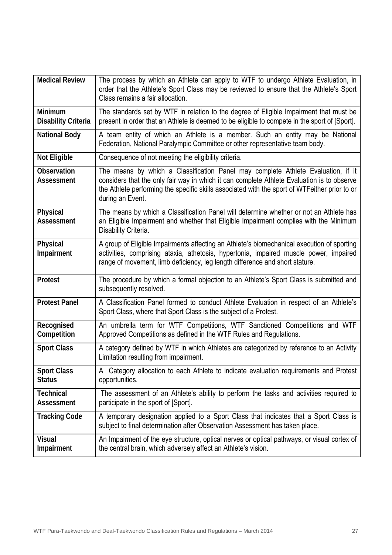| <b>Medical Review</b>                        | The process by which an Athlete can apply to WTF to undergo Athlete Evaluation, in<br>order that the Athlete's Sport Class may be reviewed to ensure that the Athlete's Sport<br>Class remains a fair allocation.                                                                                   |
|----------------------------------------------|-----------------------------------------------------------------------------------------------------------------------------------------------------------------------------------------------------------------------------------------------------------------------------------------------------|
| <b>Minimum</b><br><b>Disability Criteria</b> | The standards set by WTF in relation to the degree of Eligible Impairment that must be<br>present in order that an Athlete is deemed to be eligible to compete in the sport of [Sport].                                                                                                             |
| <b>National Body</b>                         | A team entity of which an Athlete is a member. Such an entity may be National<br>Federation, National Paralympic Committee or other representative team body.                                                                                                                                       |
| <b>Not Eligible</b>                          | Consequence of not meeting the eligibility criteria.                                                                                                                                                                                                                                                |
| Observation<br><b>Assessment</b>             | The means by which a Classification Panel may complete Athlete Evaluation, if it<br>considers that the only fair way in which it can complete Athlete Evaluation is to observe<br>the Athlete performing the specific skills associated with the sport of WTFeither prior to or<br>during an Event. |
| Physical<br><b>Assessment</b>                | The means by which a Classification Panel will determine whether or not an Athlete has<br>an Eligible Impairment and whether that Eligible Impairment complies with the Minimum<br>Disability Criteria.                                                                                             |
| Physical<br>Impairment                       | A group of Eligible Impairments affecting an Athlete's biomechanical execution of sporting<br>activities, comprising ataxia, athetosis, hypertonia, impaired muscle power, impaired<br>range of movement, limb deficiency, leg length difference and short stature.                                 |
| Protest                                      | The procedure by which a formal objection to an Athlete's Sport Class is submitted and<br>subsequently resolved.                                                                                                                                                                                    |
| <b>Protest Panel</b>                         | A Classification Panel formed to conduct Athlete Evaluation in respect of an Athlete's<br>Sport Class, where that Sport Class is the subject of a Protest.                                                                                                                                          |
| Recognised<br>Competition                    | An umbrella term for WTF Competitions, WTF Sanctioned Competitions and WTF<br>Approved Competitions as defined in the WTF Rules and Regulations.                                                                                                                                                    |
| <b>Sport Class</b>                           | A category defined by WTF in which Athletes are categorized by reference to an Activity<br>Limitation resulting from impairment.                                                                                                                                                                    |
| <b>Sport Class</b><br><b>Status</b>          | A Category allocation to each Athlete to indicate evaluation requirements and Protest<br>opportunities.                                                                                                                                                                                             |
| <b>Technical</b><br><b>Assessment</b>        | The assessment of an Athlete's ability to perform the tasks and activities required to<br>participate in the sport of [Sport].                                                                                                                                                                      |
| <b>Tracking Code</b>                         | A temporary designation applied to a Sport Class that indicates that a Sport Class is<br>subject to final determination after Observation Assessment has taken place.                                                                                                                               |
| <b>Visual</b><br>Impairment                  | An Impairment of the eye structure, optical nerves or optical pathways, or visual cortex of<br>the central brain, which adversely affect an Athlete's vision.                                                                                                                                       |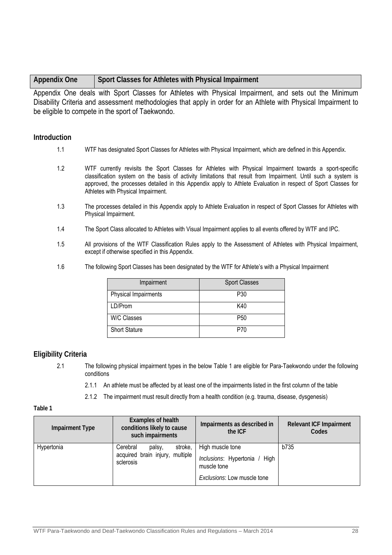| <b>Appendix One</b> | Sport Classes for Athletes with Physical Impairment |
|---------------------|-----------------------------------------------------|
|---------------------|-----------------------------------------------------|

Appendix One deals with Sport Classes for Athletes with Physical Impairment, and sets out the Minimum Disability Criteria and assessment methodologies that apply in order for an Athlete with Physical Impairment to be eligible to compete in the sport of Taekwondo.

## **Introduction**

- 1.1 WTF has designated Sport Classes for Athletes with Physical Impairment, which are defined in this Appendix.
- 1.2 WTF currently revisits the Sport Classes for Athletes with Physical Impairment towards a sport-specific classification system on the basis of activity limitations that result from Impairment. Until such a system is approved, the processes detailed in this Appendix apply to Athlete Evaluation in respect of Sport Classes for Athletes with Physical Impairment.
- 1.3 The processes detailed in this Appendix apply to Athlete Evaluation in respect of Sport Classes for Athletes with Physical Impairment.
- 1.4 The Sport Class allocated to Athletes with Visual Impairment applies to all events offered by WTF and IPC.
- 1.5 All provisions of the WTF Classification Rules apply to the Assessment of Athletes with Physical Impairment, except if otherwise specified in this Appendix.
- 1.6 The following Sport Classes has been designated by the WTF for Athlete's with a Physical Impairment

| Impairment           | <b>Sport Classes</b> |
|----------------------|----------------------|
| Physical Impairments | P <sub>30</sub>      |
| LD/Prom              | K40                  |
| W/C Classes          | P50                  |
| <b>Short Stature</b> | P70                  |

## **Eligibility Criteria**

- 2.1 The following physical impairment types in the below Table 1 are eligible for Para-Taekwondo under the following conditions
	- 2.1.1 An athlete must be affected by at least one of the impairments listed in the first column of the table
	- 2.1.2 The impairment must result directly from a health condition (e.g. trauma, disease, dysgenesis)

#### **Table 1**

| <b>Impairment Type</b> | <b>Examples of health</b><br>conditions likely to cause<br>such impairments | Impairments as described in<br>the ICF          | <b>Relevant ICF Impairment</b><br>Codes |
|------------------------|-----------------------------------------------------------------------------|-------------------------------------------------|-----------------------------------------|
| Hypertonia             | stroke,<br>Cerebral<br>palsy,                                               | High muscle tone                                | b735                                    |
| sclerosis              | acquired brain injury, multiple                                             | Inclusions: Hypertonia /<br>Hiah<br>muscle tone |                                         |
|                        |                                                                             | <b>Exclusions.</b> Low muscle tone              |                                         |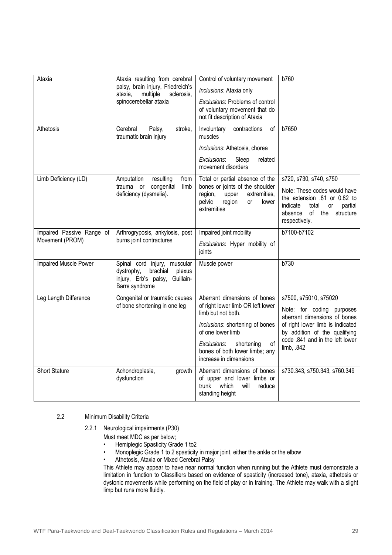| Ataxia                                       | Ataxia resulting from cerebral<br>palsy, brain injury, Friedreich's<br>multiple<br>ataxia,<br>sclerosis,<br>spinocerebellar ataxia | Control of voluntary movement<br>Inclusions: Ataxia only<br>Exclusions: Problems of control<br>of voluntary movement that do<br>not fit description of Ataxia                                                                                  | b760                                                                                                                                                                                                     |
|----------------------------------------------|------------------------------------------------------------------------------------------------------------------------------------|------------------------------------------------------------------------------------------------------------------------------------------------------------------------------------------------------------------------------------------------|----------------------------------------------------------------------------------------------------------------------------------------------------------------------------------------------------------|
| Athetosis                                    | Cerebral<br>Palsy,<br>stroke,<br>traumatic brain injury                                                                            | Involuntary<br>contractions<br>of<br>muscles<br>Inclusions: Athetosis, chorea<br>Sleep<br>Exclusions.<br>related<br>movement disorders                                                                                                         | b7650                                                                                                                                                                                                    |
| Limb Deficiency (LD)                         | Amputation<br>resulting<br>from<br>trauma or<br>congenital<br>limb<br>deficiency (dysmelia).                                       | Total or partial absence of the<br>bones or joints of the shoulder<br>region,<br>extremities,<br>upper<br>pelvic<br>region<br>lower<br><b>or</b><br>extremities                                                                                | s720, s730, s740, s750<br>Note: These codes would have<br>the extension .81 or 0.82 to<br>indicate<br>partial<br>total<br>or<br>of the<br>absence<br>structure<br>respectively.                          |
| Impaired Passive Range of<br>Movement (PROM) | Arthrogryposis, ankylosis, post<br>burns joint contractures                                                                        | Impaired joint mobility<br>Exclusions. Hyper mobility of<br>joints                                                                                                                                                                             | b7100-b7102                                                                                                                                                                                              |
| Impaired Muscle Power                        | Spinal cord injury, muscular<br>dystrophy,<br>brachial<br>plexus<br>injury, Erb's palsy,<br>Guillain-<br>Barre syndrome            | Muscle power                                                                                                                                                                                                                                   | b730                                                                                                                                                                                                     |
| Leg Length Difference                        | Congenital or traumatic causes<br>of bone shortening in one leg                                                                    | Aberrant dimensions of bones<br>of right lower limb OR left lower<br>limb but not both.<br>Inclusions: shortening of bones<br>of one lower limb<br>of<br>Exclusions.<br>shortening<br>bones of both lower limbs; any<br>increase in dimensions | s7500, s75010, s75020<br>Note: for coding purposes<br>aberrant dimensions of bones<br>of right lower limb is indicated<br>by addition of the qualifying<br>code .841 and in the left lower<br>limb, .842 |
| <b>Short Stature</b>                         | Achondroplasia,<br>growth<br>dysfunction                                                                                           | Aberrant dimensions of bones<br>of upper and lower limbs or<br>trunk<br>which<br>will<br>reduce<br>standing height                                                                                                                             | s730.343, s750.343, s760.349                                                                                                                                                                             |

#### 2.2 Minimum Disability Criteria

2.2.1Neurological impairments (P30)

- Must meet MDC as per below;
- Hemiplegic Spasticity Grade 1 to2
- Monoplegic Grade 1 to 2 spasticity in major joint, either the ankle or the elbow
- Athetosis, Ataxia or Mixed Cerebral Palsy

This Athlete may appear to have near normal function when running but the Athlete must demonstrate a limitation in function to Classifiers based on evidence of spasticity (increased tone), ataxia, athetosis or dystonic movements while performing on the field of play or in training. The Athlete may walk with a slight limp but runs more fluidly.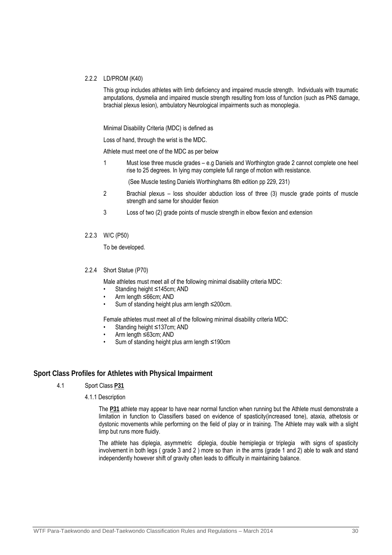#### 2.2.2 LD/PROM (K40)

This group includes athletes with limb deficiency and impaired muscle strength. Individuals with traumatic amputations, dysmelia and impaired muscle strength resulting from loss of function (such as PNS damage, brachial plexus lesion), ambulatory Neurological impairments such as monoplegia.

Minimal Disability Criteria (MDC) is defined as

Loss of hand, through the wrist is the MDC.

Athlete must meet one of the MDC as per below

1 Must lose three muscle grades – e.g Daniels and Worthington grade 2 cannot complete one heel rise to 25 degrees. In lying may complete full range of motion with resistance.

(See Muscle testing Daniels Worthinghams 8th edition pp 229, 231)

- 2 Brachial plexus loss shoulder abduction loss of three (3) muscle grade points of muscle strength and same for shoulder flexion
- 3 Loss of two (2) grade points of muscle strength in elbow flexion and extension
- 2.2.3 W/C (P50)

To be developed.

2.2.4 Short Statue (P70)

Male athletes must meet all of the following minimal disability criteria MDC:

- Standing height ≤145cm; AND
- Arm length ≤66cm; AND
- Sum of standing height plus arm length ≤200cm.

Female athletes must meet all of the following minimal disability criteria MDC:

- Standing height ≤137cm; AND
- Arm length ≤63cm; AND
- Sum of standing height plus arm length ≤190cm

#### **Sport Class Profiles for Athletes with Physical Impairment**

#### 4.1 Sport Class **P31**

#### 4.1.1 Description

 The **P31** athlete may appear to have near normal function when running but the Athlete must demonstrate a limitation in function to Classifiers based on evidence of spasticity(increased tone), ataxia, athetosis or dystonic movements while performing on the field of play or in training. The Athlete may walk with a slight limp but runs more fluidly.

The athlete has diplegia, asymmetric diplegia, double hemiplegia or triplegia with signs of spasticity involvement in both legs ( grade 3 and 2 ) more so than in the arms (grade 1 and 2) able to walk and stand independently however shift of gravity often leads to difficulty in maintaining balance.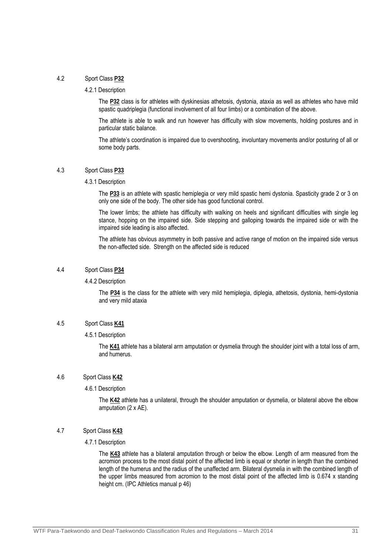#### 4.2 Sport Class **P32**

#### 4.2.1 Description

The **P32** class is for athletes with dyskinesias athetosis, dystonia, ataxia as well as athletes who have mild spastic quadriplegia (functional involvement of all four limbs) or a combination of the above.

The athlete is able to walk and run however has difficulty with slow movements, holding postures and in particular static balance.

The athlete's coordination is impaired due to overshooting, involuntary movements and/or posturing of all or some body parts.

#### 4.3 Sport Class **P33**

#### 4.3.1 Description

The **P33** is an athlete with spastic hemiplegia or very mild spastic hemi dystonia. Spasticity grade 2 or 3 on only one side of the body. The other side has good functional control.

The lower limbs; the athlete has difficulty with walking on heels and significant difficulties with single leg stance, hopping on the impaired side. Side stepping and galloping towards the impaired side or with the impaired side leading is also affected.

The athlete has obvious asymmetry in both passive and active range of motion on the impaired side versus the non-affected side. Strength on the affected side is reduced

#### 4.4 Sport Class **P34**

#### 4.4.2 Description

 The **P34** is the class for the athlete with very mild hemiplegia, diplegia, athetosis, dystonia, hemi-dystonia and very mild ataxia

#### 4.5 Sport Class **K41**

#### 4.5.1 Description

The **K41** athlete has a bilateral arm amputation or dysmelia through the shoulder joint with a total loss of arm, and humerus.

#### 4.6 Sport Class **K42**

#### 4.6.1 Description

The **K42** athlete has a unilateral, through the shoulder amputation or dysmelia, or bilateral above the elbow amputation (2 x AE).

#### 4.7 Sport Class **K43**

#### 4.7.1 Description

The **K43** athlete has a bilateral amputation through or below the elbow. Length of arm measured from the acromion process to the most distal point of the affected limb is equal or shorter in length than the combined length of the humerus and the radius of the unaffected arm. Bilateral dysmelia in with the combined length of the upper limbs measured from acromion to the most distal point of the affected limb is 0.674 x standing height cm. (IPC Athletics manual p 46)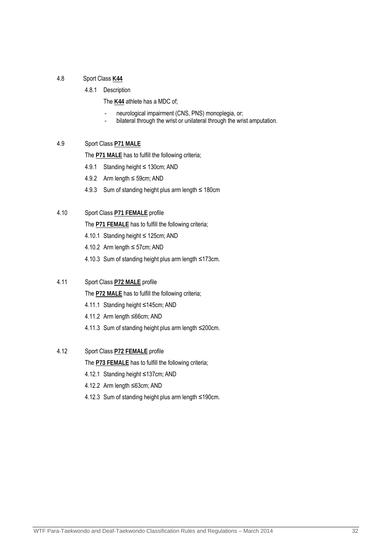### 4.8 Sport Class **K44**

4.8.1 Description

The **K44** athlete has a MDC of;

- neurological impairment (CNS, PNS) monoplegia, or;
- bilateral through the wrist or unilateral through the wrist amputation.

## 4.9 Sport Class **P71 MALE**

The **P71 MALE** has to fulfill the following criteria;

- 4.9.1 Standing height ≤ 130cm; AND
- 4.9.2 Arm length ≤ 59cm; AND
- 4.9.3 Sum of standing height plus arm length ≤ 180cm

### 4.10 Sport Class **P71 FEMALE** profile

The **P71 FEMALE** has to fulfill the following criteria;

- 4.10.1 Standing height ≤ 125cm; AND
- 4.10.2 Arm length ≤ 57cm; AND
- 4.10.3 Sum of standing height plus arm length ≤173cm.

### 4.11 Sport Class **P72 MALE** profile

The **P72 MALE** has to fulfill the following criteria;

- 4.11.1 Standing height ≤145cm; AND
- 4.11.2 Arm length ≤66cm; AND
- 4.11.3 Sum of standing height plus arm length ≤200cm.

## 4.12 Sport Class **P72 FEMALE** profile

The **P73 FEMALE** has to fulfill the following criteria;

- 4.12.1 Standing height ≤137cm; AND
- 4.12.2 Arm length ≤63cm; AND
- 4.12.3 Sum of standing height plus arm length ≤190cm.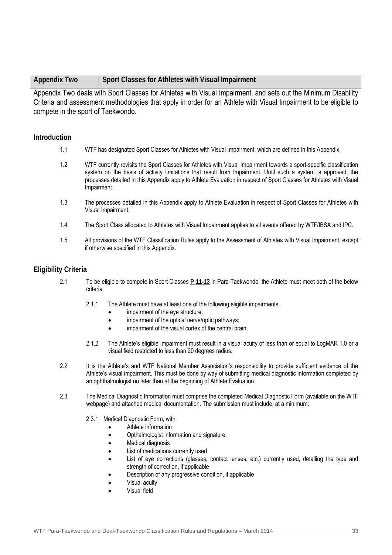Appendix Two deals with Sport Classes for Athletes with Visual Impairment, and sets out the Minimum Disability Criteria and assessment methodologies that apply in order for an Athlete with Visual Impairment to be eligible to compete in the sport of Taekwondo.

### **Introduction**

- 1.1 WTF has designated Sport Classes for Athletes with Visual Impairment, which are defined in this Appendix.
- 1.2 WTF currently revisits the Sport Classes for Athletes with Visual Impairment towards a sport-specific classification system on the basis of activity limitations that result from Impairment. Until such a system is approved, the processes detailed in this Appendix apply to Athlete Evaluation in respect of Sport Classes for Athletes with Visual Impairment.
- 1.3 The processes detailed in this Appendix apply to Athlete Evaluation in respect of Sport Classes for Athletes with Visual Impairment.
- 1.4 The Sport Class allocated to Athletes with Visual Impairment applies to all events offered by WTF/IBSA and IPC.
- 1.5 All provisions of the WTF Classification Rules apply to the Assessment of Athletes with Visual Impairment, except if otherwise specified in this Appendix.

## **Eligibility Criteria**

- 2.1 To be eligible to compete in Sport Classes **P 11-13** in Para-Taekwondo, the Athlete must meet both of the below criteria.
	- 2.1.1 The Athlete must have at least one of the following eligible impairments,
		- impairment of the eye structure;
		- impairment of the optical nerve/optic pathways;
		- impairment of the visual cortex of the central brain.
	- 2.1.2 The Athlete's eligible Impairment must result in a visual acuity of less than or equal to LogMAR 1.0 or a visual field restricted to less than 20 degrees radius.
- 2.2 It is the Athlete's and WTF National Member Association's responsibility to provide sufficient evidence of the Athlete's visual impairment. This must be done by way of submitting medical diagnostic information completed by an ophthalmologist no later than at the beginning of Athlete Evaluation.
- 2.3 The Medical Diagnostic Information must comprise the completed Medical Diagnostic Form (available on the WTF webpage) and attached medical documentation. The submission must include, at a minimum:
	- 2.3.1 Medical Diagnostic Form, with
		- Athlete information
		- Opthalmologist information and signature
		- Medical diagnosis
		- List of medications currently used
		- List of eye corrections (glasses, contact lenses, etc.) currently used, detailing the type and strength of correction, if applicable
		- Description of any progressive condition, if applicable
		- Visual acuity
		- Visual field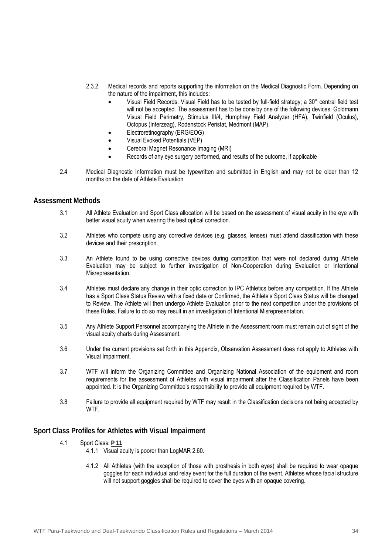- 2.3.2 Medical records and reports supporting the information on the Medical Diagnostic Form. Depending on the nature of the impairment, this includes:
	- Visual Field Records: Visual Field has to be tested by full-field strategy; a 30° central field test will not be accepted. The assessment has to be done by one of the following devices: Goldmann Visual Field Perimetry, Stimulus III/4, Humphrey Field Analyzer (HFA), Twinfield (Oculus), Octopus (Interzeag), Rodenstock Peristat, Medmont (MAP).
	- Electroretinography (ERG/EOG)
	- Visual Evoked Potentials (VEP)
	- Cerebral Magnet Resonance Imaging (MRI)
	- Records of any eye surgery performed, and results of the outcome, if applicable
- 2.4 Medical Diagnostic Information must be typewritten and submitted in English and may not be older than 12 months on the date of Athlete Evaluation.

#### **Assessment Methods**

- 3.1 All Athlete Evaluation and Sport Class allocation will be based on the assessment of visual acuity in the eye with better visual acuity when wearing the best optical correction.
- 3.2 Athletes who compete using any corrective devices (e.g. glasses, lenses) must attend classification with these devices and their prescription.
- 3.3 An Athlete found to be using corrective devices during competition that were not declared during Athlete Evaluation may be subject to further investigation of Non-Cooperation during Evaluation or Intentional Misrepresentation.
- 3.4 Athletes must declare any change in their optic correction to IPC Athletics before any competition. If the Athlete has a Sport Class Status Review with a fixed date or Confirmed, the Athlete's Sport Class Status will be changed to Review. The Athlete will then undergo Athlete Evaluation prior to the next competition under the provisions of these Rules. Failure to do so may result in an investigation of Intentional Misrepresentation.
- 3.5 Any Athlete Support Personnel accompanying the Athlete in the Assessment room must remain out of sight of the visual acuity charts during Assessment.
- 3.6 Under the current provisions set forth in this Appendix, Observation Assessment does not apply to Athletes with Visual Impairment.
- 3.7 WTF will inform the Organizing Committee and Organizing National Association of the equipment and room requirements for the assessment of Athletes with visual impairment after the Classification Panels have been appointed. It is the Organizing Committee's responsibility to provide all equipment required by WTF.
- 3.8 Failure to provide all equipment required by WTF may result in the Classification decisions not being accepted by **WTF**

#### **Sport Class Profiles for Athletes with Visual Impairment**

- 4.1 Sport Class: **P 11**
	- 4.1.1 Visual acuity is poorer than LogMAR 2.60.
	- 4.1.2 All Athletes (with the exception of those with prosthesis in both eyes) shall be required to wear opaque goggles for each individual and relay event for the full duration of the event. Athletes whose facial structure will not support goggles shall be required to cover the eyes with an opaque covering.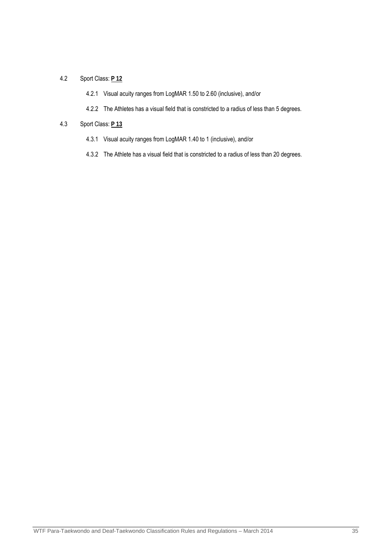## 4.2 Sport Class: **P 12**

- 4.2.1 Visual acuity ranges from LogMAR 1.50 to 2.60 (inclusive), and/or
- 4.2.2 The Athletes has a visual field that is constricted to a radius of less than 5 degrees.

#### 4.3 Sport Class: **P 13**

- 4.3.1 Visual acuity ranges from LogMAR 1.40 to 1 (inclusive), and/or
- 4.3.2 The Athlete has a visual field that is constricted to a radius of less than 20 degrees.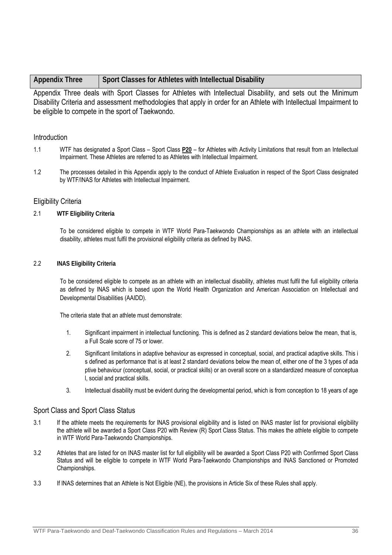| <b>Appendix Three</b> | Sport Classes for Athletes with Intellectual Disability |
|-----------------------|---------------------------------------------------------|
|                       |                                                         |

Appendix Three deals with Sport Classes for Athletes with Intellectual Disability, and sets out the Minimum Disability Criteria and assessment methodologies that apply in order for an Athlete with Intellectual Impairment to be eligible to compete in the sport of Taekwondo.

### **Introduction**

- 1.1 WTF has designated a Sport Class Sport Class **P20** for Athletes with Activity Limitations that result from an Intellectual Impairment. These Athletes are referred to as Athletes with Intellectual Impairment.
- 1.2 The processes detailed in this Appendix apply to the conduct of Athlete Evaluation in respect of the Sport Class designated by WTF/INAS for Athletes with Intellectual Impairment.

### Eligibility Criteria

#### 2.1 **WTF Eligibility Criteria**

To be considered eligible to compete in WTF World Para-Taekwondo Championships as an athlete with an intellectual disability, athletes must fulfil the provisional eligibility criteria as defined by INAS.

#### 2.2 **INAS Eligibility Criteria**

To be considered eligible to compete as an athlete with an intellectual disability, athletes must fulfil the full eligibility criteria as defined by INAS which is based upon the World Health Organization and American Association on Intellectual and Developmental Disabilities (AAIDD).

The criteria state that an athlete must demonstrate:

- 1. Significant impairment in intellectual functioning. This is defined as 2 standard deviations below the mean, that is, a Full Scale score of 75 or lower.
- 2. Significant limitations in adaptive behaviour as expressed in conceptual, social, and practical adaptive skills. This i s defined as performance that is at least 2 standard deviations below the mean of, either one of the 3 types of ada ptive behaviour (conceptual, social, or practical skills) or an overall score on a standardized measure of conceptua l, social and practical skills.
- 3. Intellectual disability must be evident during the developmental period, which is from conception to 18 years of age

#### Sport Class and Sport Class Status

- 3.1 If the athlete meets the requirements for INAS provisional eligibility and is listed on INAS master list for provisional eligibility the athlete will be awarded a Sport Class P20 with Review (R) Sport Class Status. This makes the athlete eligible to compete in WTF World Para-Taekwondo Championships.
- 3.2 Athletes that are listed for on INAS master list for full eligibility will be awarded a Sport Class P20 with Confirmed Sport Class Status and will be eligible to compete in WTF World Para-Taekwondo Championships and INAS Sanctioned or Promoted Championships.
- 3.3 If INAS determines that an Athlete is Not Eligible (NE), the provisions in Article Six of these Rules shall apply.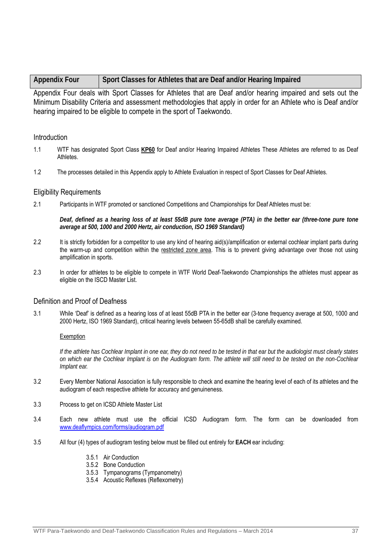| <b>Appendix Four</b> | Sport Classes for Athletes that are Deaf and/or Hearing Impaired |  |
|----------------------|------------------------------------------------------------------|--|
|----------------------|------------------------------------------------------------------|--|

Appendix Four deals with Sport Classes for Athletes that are Deaf and/or hearing impaired and sets out the Minimum Disability Criteria and assessment methodologies that apply in order for an Athlete who is Deaf and/or hearing impaired to be eligible to compete in the sport of Taekwondo.

### **Introduction**

- 1.1 WTF has designated Sport Class **KP60** for Deaf and/or Hearing Impaired Athletes These Athletes are referred to as Deaf Athletes.
- 1.2 The processes detailed in this Appendix apply to Athlete Evaluation in respect of Sport Classes for Deaf Athletes.

#### Eligibility Requirements

2.1 Participants in WTF promoted or sanctioned Competitions and Championships for Deaf Athletes must be:

*Deaf, defined as a hearing loss of at least 55dB pure tone average (PTA) in the better ear (three-tone pure tone average at 500, 1000 and 2000 Hertz, air conduction, ISO 1969 Standard)* 

- 2.2 It is strictly forbidden for a competitor to use any kind of hearing aid(s)/amplification or external cochlear implant parts during the warm-up and competition within the restricted zone area. This is to prevent giving advantage over those not using amplification in sports.
- 2.3 In order for athletes to be eligible to compete in WTF World Deaf-Taekwondo Championships the athletes must appear as eligible on the ISCD Master List.

### Definition and Proof of Deafness

3.1 While 'Deaf' is defined as a hearing loss of at least 55dB PTA in the better ear (3-tone frequency average at 500, 1000 and 2000 Hertz, ISO 1969 Standard), critical hearing levels between 55-65dB shall be carefully examined.

#### Exemption

*If the athlete has Cochlear Implant in one ear, they do not need to be tested in that ear but the audiologist must clearly states on which ear the Cochlear Implant is on the Audiogram form. The athlete will still need to be tested on the non-Cochlear Implant ear.* 

- 3.2 Every Member National Association is fully responsible to check and examine the hearing level of each of its athletes and the audiogram of each respective athlete for accuracy and genuineness.
- 3.3 Process to get on ICSD Athlete Master List
- 3.4 Each new athlete must use the official ICSD Audiogram form. The form can be downloaded from www.deaflympics.com/forms/audiogram.pdf
- 3.5 All four (4) types of audiogram testing below must be filled out entirely for **EACH** ear including:
	- 3.5.1 Air Conduction
	- 3.5.2 Bone Conduction
	- 3.5.3 Tympanograms (Tympanometry)
	- 3.5.4 Acoustic Reflexes (Reflexometry)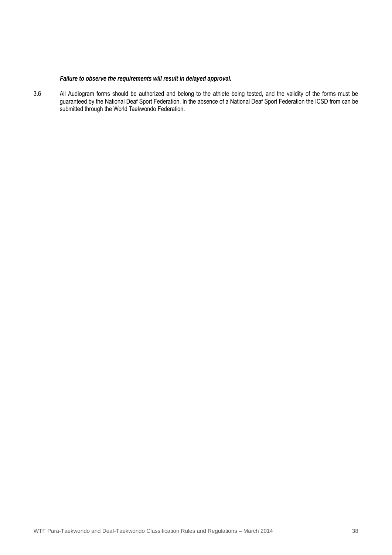### *Failure to observe the requirements will result in delayed approval.*

3.6 All Audiogram forms should be authorized and belong to the athlete being tested, and the validity of the forms must be guaranteed by the National Deaf Sport Federation. In the absence of a National Deaf Sport Federation the ICSD from can be submitted through the World Taekwondo Federation.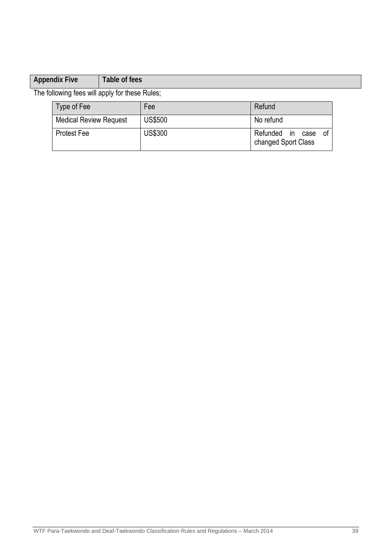## **Appendix Five** Table of fees

The following fees will apply for these Rules;

| Type of Fee                   | Fee            | Refund                                           |
|-------------------------------|----------------|--------------------------------------------------|
| <b>Medical Review Request</b> | <b>US\$500</b> | No refund                                        |
| <b>Protest Fee</b>            | <b>US\$300</b> | Refunded in<br>0t<br>case<br>changed Sport Class |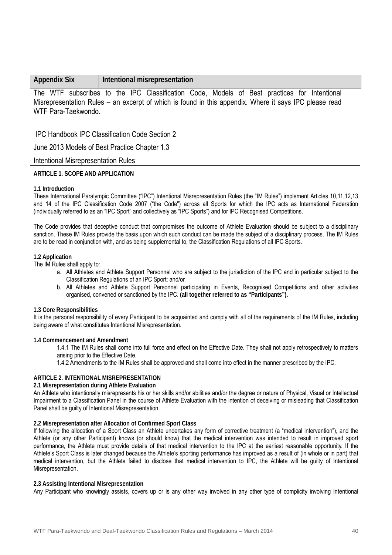### **Appendix Six Intentional misrepresentation**

The WTF subscribes to the IPC Classification Code, Models of Best practices for Intentional Misrepresentation Rules – an excerpt of which is found in this appendix. Where it says IPC please read WTF Para-Taekwondo.

IPC Handbook IPC Classification Code Section 2

June 2013 Models of Best Practice Chapter 1.3

Intentional Misrepresentation Rules

#### **ARTICLE 1. SCOPE AND APPLICATION**

#### **1.1 Introduction**

These International Paralympic Committee ("IPC") Intentional Misrepresentation Rules (the "IM Rules") implement Articles 10,11,12,13 and 14 of the IPC Classification Code 2007 ("the Code") across all Sports for which the IPC acts as International Federation (individually referred to as an "IPC Sport" and collectively as "IPC Sports") and for IPC Recognised Competitions.

The Code provides that deceptive conduct that compromises the outcome of Athlete Evaluation should be subject to a disciplinary sanction. These IM Rules provide the basis upon which such conduct can be made the subject of a disciplinary process. The IM Rules are to be read in conjunction with, and as being supplemental to, the Classification Regulations of all IPC Sports.

#### **1.2 Application**

The IM Rules shall apply to:

- a. All Athletes and Athlete Support Personnel who are subject to the jurisdiction of the IPC and in particular subject to the Classification Regulations of an IPC Sport; and/or
- b. All Athletes and Athlete Support Personnel participating in Events, Recognised Competitions and other activities organised, convened or sanctioned by the IPC. **(all together referred to as "Participants").**

#### **1.3 Core Responsibilities**

It is the personal responsibility of every Participant to be acquainted and comply with all of the requirements of the IM Rules, including being aware of what constitutes Intentional Misrepresentation.

#### **1.4 Commencement and Amendment**

1.4.1 The IM Rules shall come into full force and effect on the Effective Date. They shall not apply retrospectively to matters arising prior to the Effective Date.

1.4.2 Amendments to the IM Rules shall be approved and shall come into effect in the manner prescribed by the IPC.

#### **ARTICLE 2. INTENTIONAL MISREPRESENTATION**

#### **2.1 Misrepresentation during Athlete Evaluation**

An Athlete who intentionally misrepresents his or her skills and/or abilities and/or the degree or nature of Physical, Visual or Intellectual Impairment to a Classification Panel in the course of Athlete Evaluation with the intention of deceiving or misleading that Classification Panel shall be guilty of Intentional Misrepresentation.

#### **2.2 Misrepresentation after Allocation of Confirmed Sport Class**

If following the allocation of a Sport Class an Athlete undertakes any form of corrective treatment (a "medical intervention"), and the Athlete (or any other Participant) knows (or should know) that the medical intervention was intended to result in improved sport performance, the Athlete must provide details of that medical intervention to the IPC at the earliest reasonable opportunity. If the Athlete's Sport Class is later changed because the Athlete's sporting performance has improved as a result of (in whole or in part) that medical intervention, but the Athlete failed to disclose that medical intervention to IPC, the Athlete will be guilty of Intentional Misrepresentation.

#### **2.3 Assisting Intentional Misrepresentation**

Any Participant who knowingly assists, covers up or is any other way involved in any other type of complicity involving Intentional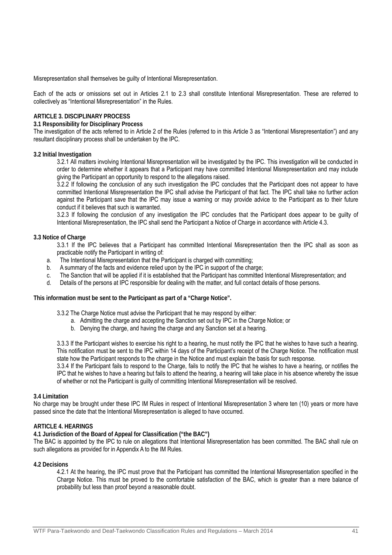Misrepresentation shall themselves be guilty of Intentional Misrepresentation.

Each of the acts or omissions set out in Articles 2.1 to 2.3 shall constitute Intentional Misrepresentation. These are referred to collectively as "Intentional Misrepresentation" in the Rules.

#### **ARTICLE 3. DISCIPLINARY PROCESS**

#### **3.1 Responsibility for Disciplinary Process**

The investigation of the acts referred to in Article 2 of the Rules (referred to in this Article 3 as "Intentional Misrepresentation") and any resultant disciplinary process shall be undertaken by the IPC.

#### **3.2 Initial Investigation**

3.2.1 All matters involving Intentional Misrepresentation will be investigated by the IPC. This investigation will be conducted in order to determine whether it appears that a Participant may have committed Intentional Misrepresentation and may include giving the Participant an opportunity to respond to the allegations raised.

3.2.2 If following the conclusion of any such investigation the IPC concludes that the Participant does not appear to have committed Intentional Misrepresentation the IPC shall advise the Participant of that fact. The IPC shall take no further action against the Participant save that the IPC may issue a warning or may provide advice to the Participant as to their future conduct if it believes that such is warranted.

3.2.3 If following the conclusion of any investigation the IPC concludes that the Participant does appear to be guilty of Intentional Misrepresentation, the IPC shall send the Participant a Notice of Charge in accordance with Article 4.3.

#### **3.3 Notice of Charge**

3.3.1 If the IPC believes that a Participant has committed Intentional Misrepresentation then the IPC shall as soon as practicable notify the Participant in writing of:

- a. The Intentional Misrepresentation that the Participant is charged with committing;
- b. A summary of the facts and evidence relied upon by the IPC in support of the charge;
- c. The Sanction that will be applied if it is established that the Participant has committed Intentional Misrepresentation; and
- d. Details of the persons at IPC responsible for dealing with the matter, and full contact details of those persons.

**This information must be sent to the Participant as part of a "Charge Notice".** 

3.3.2 The Charge Notice must advise the Participant that he may respond by either:

- a. Admitting the charge and accepting the Sanction set out by IPC in the Charge Notice; or
	- b. Denying the charge, and having the charge and any Sanction set at a hearing.

3.3.3 If the Participant wishes to exercise his right to a hearing, he must notify the IPC that he wishes to have such a hearing. This notification must be sent to the IPC within 14 days of the Participant's receipt of the Charge Notice. The notification must state how the Participant responds to the charge in the Notice and must explain the basis for such response.

3.3.4 If the Participant fails to respond to the Charge, fails to notify the IPC that he wishes to have a hearing, or notifies the IPC that he wishes to have a hearing but fails to attend the hearing, a hearing will take place in his absence whereby the issue of whether or not the Participant is guilty of committing Intentional Misrepresentation will be resolved.

#### **3.4 Limitation**

No charge may be brought under these IPC IM Rules in respect of Intentional Misrepresentation 3 where ten (10) years or more have passed since the date that the Intentional Misrepresentation is alleged to have occurred.

#### **ARTICLE 4. HEARINGS**

#### **4.1 Jurisdiction of the Board of Appeal for Classification ("the BAC")**

The BAC is appointed by the IPC to rule on allegations that Intentional Misrepresentation has been committed. The BAC shall rule on such allegations as provided for in Appendix A to the IM Rules.

#### **4.2 Decisions**

4.2.1 At the hearing, the IPC must prove that the Participant has committed the Intentional Misrepresentation specified in the Charge Notice. This must be proved to the comfortable satisfaction of the BAC, which is greater than a mere balance of probability but less than proof beyond a reasonable doubt.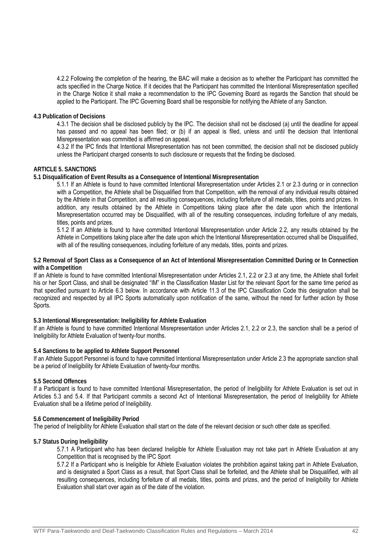4.2.2 Following the completion of the hearing, the BAC will make a decision as to whether the Participant has committed the acts specified in the Charge Notice. If it decides that the Participant has committed the Intentional Misrepresentation specified in the Charge Notice it shall make a recommendation to the IPC Governing Board as regards the Sanction that should be applied to the Participant. The IPC Governing Board shall be responsible for notifying the Athlete of any Sanction.

#### **4.3 Publication of Decisions**

4.3.1 The decision shall be disclosed publicly by the IPC. The decision shall not be disclosed (a) until the deadline for appeal has passed and no appeal has been filed; or (b) if an appeal is filed, unless and until the decision that Intentional Misrepresentation was committed is affirmed on appeal.

4.3.2 If the IPC finds that Intentional Misrepresentation has not been committed, the decision shall not be disclosed publicly unless the Participant charged consents to such disclosure or requests that the finding be disclosed.

#### **ARTICLE 5. SANCTIONS**

**5.1 Disqualification of Event Results as a Consequence of Intentional Misrepresentation** 

5.1.1 If an Athlete is found to have committed Intentional Misrepresentation under Articles 2.1 or 2.3 during or in connection with a Competition, the Athlete shall be Disqualified from that Competition, with the removal of any individual results obtained by the Athlete in that Competition, and all resulting consequences, including forfeiture of all medals, titles, points and prizes. In addition, any results obtained by the Athlete in Competitions taking place after the date upon which the Intentional Misrepresentation occurred may be Disqualified, with all of the resulting consequences, including forfeiture of any medals, titles, points and prizes.

5.1.2 If an Athlete is found to have committed Intentional Misrepresentation under Article 2.2, any results obtained by the Athlete in Competitions taking place after the date upon which the Intentional Misrepresentation occurred shall be Disqualified, with all of the resulting consequences, including forfeiture of any medals, titles, points and prizes.

**5.2 Removal of Sport Class as a Consequence of an Act of Intentional Misrepresentation Committed During or In Connection with a Competition** 

If an Athlete is found to have committed Intentional Misrepresentation under Articles 2.1, 2.2 or 2.3 at any time, the Athlete shall forfeit his or her Sport Class, and shall be designated "IM" in the Classification Master List for the relevant Sport for the same time period as that specified pursuant to Article 6.3 below. In accordance with Article 11.3 of the IPC Classification Code this designation shall be recognized and respected by all IPC Sports automatically upon notification of the same, without the need for further action by those Sports.

#### **5.3 Intentional Misrepresentation: Ineligibility for Athlete Evaluation**

If an Athlete is found to have committed Intentional Misrepresentation under Articles 2.1, 2.2 or 2.3, the sanction shall be a period of Ineligibility for Athlete Evaluation of twenty-four months.

#### **5.4 Sanctions to be applied to Athlete Support Personnel**

If an Athlete Support Personnel is found to have committed Intentional Misrepresentation under Article 2.3 the appropriate sanction shall be a period of Ineligibility for Athlete Evaluation of twenty-four months.

#### **5.5 Second Offences**

If a Participant is found to have committed Intentional Misrepresentation, the period of Ineligibility for Athlete Evaluation is set out in Articles 5.3 and 5.4. If that Participant commits a second Act of Intentional Misrepresentation, the period of Ineligibility for Athlete Evaluation shall be a lifetime period of Ineligibility.

#### **5.6 Commencement of Ineligibility Period**

The period of Ineligibility for Athlete Evaluation shall start on the date of the relevant decision or such other date as specified.

#### **5.7 Status During Ineligibility**

5.7.1 A Participant who has been declared Ineligible for Athlete Evaluation may not take part in Athlete Evaluation at any Competition that is recognised by the IPC Sport

5.7.2 If a Participant who is Ineligible for Athlete Evaluation violates the prohibition against taking part in Athlete Evaluation, and is designated a Sport Class as a result, that Sport Class shall be forfeited, and the Athlete shall be Disqualified, with all resulting consequences, including forfeiture of all medals, titles, points and prizes, and the period of Ineligibility for Athlete Evaluation shall start over again as of the date of the violation.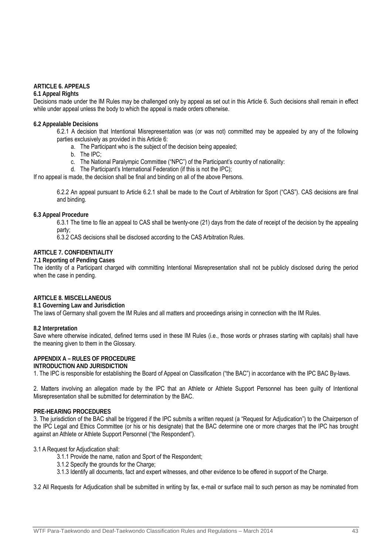#### **ARTICLE 6. APPEALS**

#### **6.1 Appeal Rights**

Decisions made under the IM Rules may be challenged only by appeal as set out in this Article 6. Such decisions shall remain in effect while under appeal unless the body to which the appeal is made orders otherwise.

### **6.2 Appealable Decisions**

6.2.1 A decision that Intentional Misrepresentation was (or was not) committed may be appealed by any of the following parties exclusively as provided in this Article 6:

- a. The Participant who is the subject of the decision being appealed;
- b. The IPC;
- c. The National Paralympic Committee ("NPC") of the Participant's country of nationality:
- d. The Participant's International Federation (if this is not the IPC);

If no appeal is made, the decision shall be final and binding on all of the above Persons.

6.2.2 An appeal pursuant to Article 6.2.1 shall be made to the Court of Arbitration for Sport ("CAS"). CAS decisions are final and binding.

#### **6.3 Appeal Procedure**

6.3.1 The time to file an appeal to CAS shall be twenty-one (21) days from the date of receipt of the decision by the appealing party;

6.3.2 CAS decisions shall be disclosed according to the CAS Arbitration Rules.

#### **ARTICLE 7. CONFIDENTIALITY**

#### **7.1 Reporting of Pending Cases**

The identity of a Participant charged with committing Intentional Misrepresentation shall not be publicly disclosed during the period when the case in pending.

#### **ARTICLE 8. MISCELLANEOUS**

#### **8.1 Governing Law and Jurisdiction**

The laws of Germany shall govern the IM Rules and all matters and proceedings arising in connection with the IM Rules.

#### **8.2 Interpretation**

Save where otherwise indicated, defined terms used in these IM Rules (i.e., those words or phrases starting with capitals) shall have the meaning given to them in the Glossary.

#### **APPENDIX A – RULES OF PROCEDURE**

#### **INTRODUCTION AND JURISDICTION**

1. The IPC is responsible for establishing the Board of Appeal on Classification ("the BAC") in accordance with the IPC BAC By-laws.

2. Matters involving an allegation made by the IPC that an Athlete or Athlete Support Personnel has been guilty of Intentional Misrepresentation shall be submitted for determination by the BAC.

#### **PRE-HEARING PROCEDURES**

3. The jurisdiction of the BAC shall be triggered if the IPC submits a written request (a "Request for Adjudication") to the Chairperson of the IPC Legal and Ethics Committee (or his or his designate) that the BAC determine one or more charges that the IPC has brought against an Athlete or Athlete Support Personnel ("the Respondent").

#### 3.1 A Request for Adjudication shall:

- 3.1.1 Provide the name, nation and Sport of the Respondent;
- 3.1.2 Specify the grounds for the Charge;
- 3.1.3 Identify all documents, fact and expert witnesses, and other evidence to be offered in support of the Charge.

3.2 All Requests for Adjudication shall be submitted in writing by fax, e-mail or surface mail to such person as may be nominated from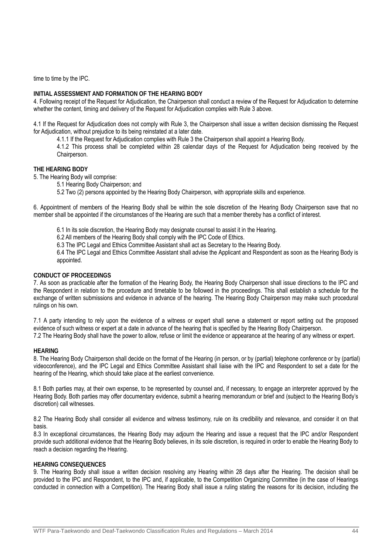time to time by the IPC.

### **INITIAL ASSESSMENT AND FORMATION OF THE HEARING BODY**

4. Following receipt of the Request for Adjudication, the Chairperson shall conduct a review of the Request for Adjudication to determine whether the content, timing and delivery of the Request for Adjudication complies with Rule 3 above.

4.1 If the Request for Adjudication does not comply with Rule 3, the Chairperson shall issue a written decision dismissing the Request for Adjudication, without prejudice to its being reinstated at a later date.

4.1.1 If the Request for Adjudication complies with Rule 3 the Chairperson shall appoint a Hearing Body.

4.1.2 This process shall be completed within 28 calendar days of the Request for Adjudication being received by the Chairperson.

#### **THE HEARING BODY**

5. The Hearing Body will comprise:

5.1 Hearing Body Chairperson; and

5.2 Two (2) persons appointed by the Hearing Body Chairperson, with appropriate skills and experience.

6. Appointment of members of the Hearing Body shall be within the sole discretion of the Hearing Body Chairperson save that no member shall be appointed if the circumstances of the Hearing are such that a member thereby has a conflict of interest.

- 6.1 In its sole discretion, the Hearing Body may designate counsel to assist it in the Hearing.
- 6.2 All members of the Hearing Body shall comply with the IPC Code of Ethics.
- 6.3 The IPC Legal and Ethics Committee Assistant shall act as Secretary to the Hearing Body.

6.4 The IPC Legal and Ethics Committee Assistant shall advise the Applicant and Respondent as soon as the Hearing Body is appointed.

#### **CONDUCT OF PROCEEDINGS**

7. As soon as practicable after the formation of the Hearing Body, the Hearing Body Chairperson shall issue directions to the IPC and the Respondent in relation to the procedure and timetable to be followed in the proceedings. This shall establish a schedule for the exchange of written submissions and evidence in advance of the hearing. The Hearing Body Chairperson may make such procedural rulings on his own.

7.1 A party intending to rely upon the evidence of a witness or expert shall serve a statement or report setting out the proposed evidence of such witness or expert at a date in advance of the hearing that is specified by the Hearing Body Chairperson. 7.2 The Hearing Body shall have the power to allow, refuse or limit the evidence or appearance at the hearing of any witness or expert.

#### **HEARING**

8. The Hearing Body Chairperson shall decide on the format of the Hearing (in person, or by (partial) telephone conference or by (partial) videoconference), and the IPC Legal and Ethics Committee Assistant shall liaise with the IPC and Respondent to set a date for the hearing of the Hearing, which should take place at the earliest convenience.

8.1 Both parties may, at their own expense, to be represented by counsel and, if necessary, to engage an interpreter approved by the Hearing Body. Both parties may offer documentary evidence, submit a hearing memorandum or brief and (subject to the Hearing Body's discretion) call witnesses.

8.2 The Hearing Body shall consider all evidence and witness testimony, rule on its credibility and relevance, and consider it on that basis.

8.3 In exceptional circumstances, the Hearing Body may adjourn the Hearing and issue a request that the IPC and/or Respondent provide such additional evidence that the Hearing Body believes, in its sole discretion, is required in order to enable the Hearing Body to reach a decision regarding the Hearing.

#### **HEARING CONSEQUENCES**

9. The Hearing Body shall issue a written decision resolving any Hearing within 28 days after the Hearing. The decision shall be provided to the IPC and Respondent, to the IPC and, if applicable, to the Competition Organizing Committee (in the case of Hearings conducted in connection with a Competition). The Hearing Body shall issue a ruling stating the reasons for its decision, including the